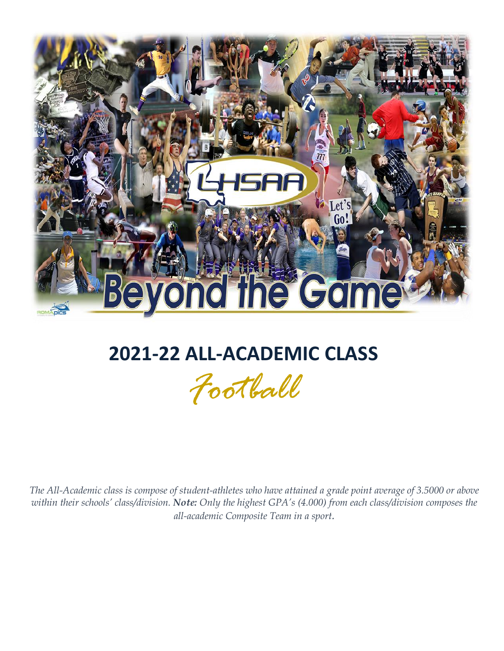

# **2021-22 ALL-ACADEMIC CLASS**

*Football*

*The All-Academic class is compose of student-athletes who have attained a grade point average of 3.5000 or above within their schools' class/division. Note: Only the highest GPA's (4.000) from each class/division composes the all-academic Composite Team in a sport.*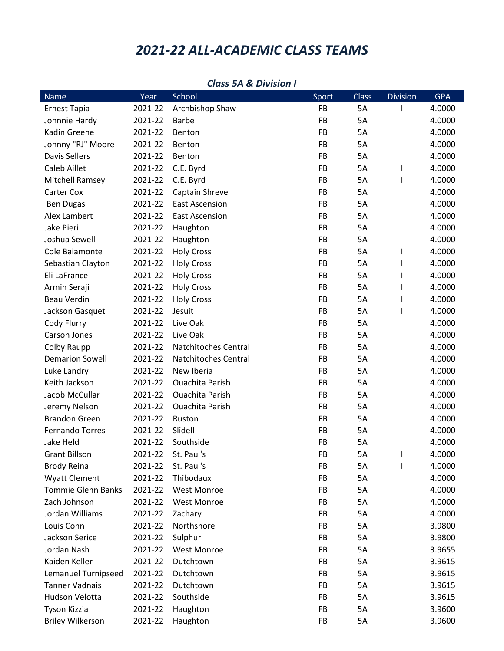## *2021-22 ALL-ACADEMIC CLASS TEAMS*

| <b>Name</b>               | Year    | School                 | Sport     | <b>Class</b> | <b>Division</b> | <b>GPA</b> |
|---------------------------|---------|------------------------|-----------|--------------|-----------------|------------|
| <b>Ernest Tapia</b>       | 2021-22 | Archbishop Shaw        | <b>FB</b> | 5A           | I.              | 4.0000     |
| Johnnie Hardy             | 2021-22 | <b>Barbe</b>           | FB        | 5A           |                 | 4.0000     |
| Kadin Greene              | 2021-22 | Benton                 | FB        | 5A           |                 | 4.0000     |
| Johnny "RJ" Moore         | 2021-22 | Benton                 | FB        | 5A           |                 | 4.0000     |
| Davis Sellers             | 2021-22 | Benton                 | FB        | 5A           |                 | 4.0000     |
| Caleb Aillet              | 2021-22 | C.E. Byrd              | FB        | 5A           | $\mathbf{I}$    | 4.0000     |
| <b>Mitchell Ramsey</b>    | 2021-22 | C.E. Byrd              | FB        | 5A           | T               | 4.0000     |
| Carter Cox                | 2021-22 | Captain Shreve         | FB        | 5A           |                 | 4.0000     |
| <b>Ben Dugas</b>          | 2021-22 | <b>East Ascension</b>  | FB        | 5A           |                 | 4.0000     |
| Alex Lambert              | 2021-22 | <b>East Ascension</b>  | FB        | 5A           |                 | 4.0000     |
| Jake Pieri                | 2021-22 | Haughton               | FB        | 5A           |                 | 4.0000     |
| Joshua Sewell             | 2021-22 | Haughton               | FB        | 5A           |                 | 4.0000     |
| Cole Baiamonte            | 2021-22 | <b>Holy Cross</b>      | FB        | 5A           | T               | 4.0000     |
| Sebastian Clayton         | 2021-22 | <b>Holy Cross</b>      | FB        | 5A           | $\mathbf{I}$    | 4.0000     |
| Eli LaFrance              | 2021-22 | <b>Holy Cross</b>      | FB        | 5A           | I.              | 4.0000     |
| Armin Seraji              | 2021-22 | <b>Holy Cross</b>      | FB        | 5A           | I.              | 4.0000     |
| <b>Beau Verdin</b>        | 2021-22 | <b>Holy Cross</b>      | FB        | 5A           | I.              | 4.0000     |
| Jackson Gasquet           | 2021-22 | Jesuit                 | FB        | 5A           | T               | 4.0000     |
| Cody Flurry               | 2021-22 | Live Oak               | FB        | 5A           |                 | 4.0000     |
| Carson Jones              | 2021-22 | Live Oak               | FB        | 5A           |                 | 4.0000     |
| Colby Raupp               | 2021-22 | Natchitoches Central   | FB        | 5A           |                 | 4.0000     |
| <b>Demarion Sowell</b>    | 2021-22 | Natchitoches Central   | FB        | 5A           |                 | 4.0000     |
| Luke Landry               | 2021-22 | New Iberia             | FB        | 5A           |                 | 4.0000     |
| Keith Jackson             | 2021-22 | <b>Ouachita Parish</b> | FB        | 5A           |                 | 4.0000     |
| Jacob McCullar            | 2021-22 | Ouachita Parish        | FB        | 5A           |                 | 4.0000     |
| Jeremy Nelson             | 2021-22 | <b>Ouachita Parish</b> | FB        | 5A           |                 | 4.0000     |
| <b>Brandon Green</b>      | 2021-22 | Ruston                 | FB        | 5A           |                 | 4.0000     |
| <b>Fernando Torres</b>    | 2021-22 | Slidell                | FB        | 5A           |                 | 4.0000     |
| Jake Held                 | 2021-22 | Southside              | FB        | 5A           |                 | 4.0000     |
| <b>Grant Billson</b>      | 2021-22 | St. Paul's             | FB        | 5A           | T               | 4.0000     |
| <b>Brody Reina</b>        | 2021-22 | St. Paul's             | FB        | 5A           | T               | 4.0000     |
| <b>Wyatt Clement</b>      | 2021-22 | Thibodaux              | FB        | 5A           |                 | 4.0000     |
| <b>Tommie Glenn Banks</b> | 2021-22 | West Monroe            | FB        | 5A           |                 | 4.0000     |
| Zach Johnson              | 2021-22 | <b>West Monroe</b>     | FB        | 5A           |                 | 4.0000     |
| Jordan Williams           | 2021-22 | Zachary                | FB        | 5A           |                 | 4.0000     |
| Louis Cohn                | 2021-22 | Northshore             | FB        | 5A           |                 | 3.9800     |
| <b>Jackson Serice</b>     | 2021-22 | Sulphur                | FB        | 5A           |                 | 3.9800     |
| Jordan Nash               | 2021-22 | <b>West Monroe</b>     | FB        | 5A           |                 | 3.9655     |
| Kaiden Keller             | 2021-22 | Dutchtown              | FB        | 5A           |                 | 3.9615     |
| Lemanuel Turnipseed       | 2021-22 | Dutchtown              | FB        | 5A           |                 | 3.9615     |
| <b>Tanner Vadnais</b>     | 2021-22 | Dutchtown              | FB        | 5A           |                 | 3.9615     |
| <b>Hudson Velotta</b>     | 2021-22 | Southside              | FB        | 5A           |                 | 3.9615     |
| Tyson Kizzia              | 2021-22 | Haughton               | FB        | 5A           |                 | 3.9600     |
| <b>Briley Wilkerson</b>   | 2021-22 | Haughton               | FB        | 5A           |                 | 3.9600     |

#### *Class 5A & Division I*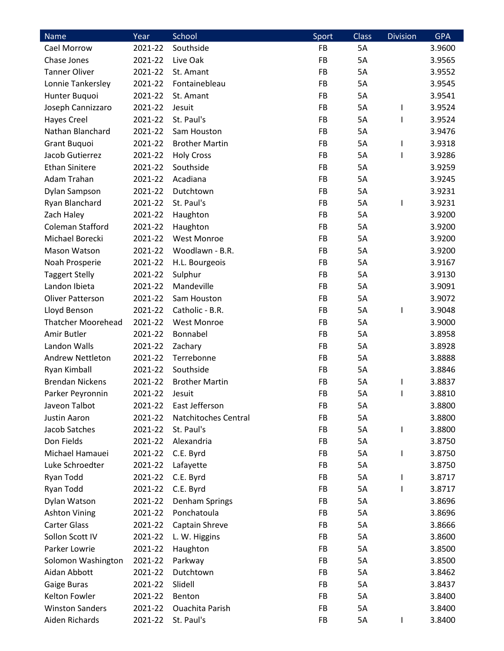| Name                      | Year    | School                | Sport     | <b>Class</b> | <b>Division</b> | <b>GPA</b> |
|---------------------------|---------|-----------------------|-----------|--------------|-----------------|------------|
| Cael Morrow               | 2021-22 | Southside             | FB        | 5A           |                 | 3.9600     |
| Chase Jones               | 2021-22 | Live Oak              | FB        | 5A           |                 | 3.9565     |
| <b>Tanner Oliver</b>      | 2021-22 | St. Amant             | <b>FB</b> | 5A           |                 | 3.9552     |
| Lonnie Tankersley         | 2021-22 | Fontainebleau         | FB        | 5A           |                 | 3.9545     |
| Hunter Buquoi             | 2021-22 | St. Amant             | FB        | 5A           |                 | 3.9541     |
| Joseph Cannizzaro         | 2021-22 | Jesuit                | <b>FB</b> | 5A           | I               | 3.9524     |
| <b>Hayes Creel</b>        | 2021-22 | St. Paul's            | FB        | 5A           | L               | 3.9524     |
| Nathan Blanchard          | 2021-22 | Sam Houston           | FB        | 5A           |                 | 3.9476     |
| Grant Buquoi              | 2021-22 | <b>Brother Martin</b> | <b>FB</b> | 5A           | I               | 3.9318     |
| Jacob Gutierrez           | 2021-22 | <b>Holy Cross</b>     | FB        | 5A           | $\mathsf{I}$    | 3.9286     |
| <b>Ethan Sinitere</b>     | 2021-22 | Southside             | <b>FB</b> | 5A           |                 | 3.9259     |
| Adam Trahan               | 2021-22 | Acadiana              | FB        | 5A           |                 | 3.9245     |
| Dylan Sampson             | 2021-22 | Dutchtown             | <b>FB</b> | 5A           |                 | 3.9231     |
| Ryan Blanchard            | 2021-22 | St. Paul's            | <b>FB</b> | 5A           | I               | 3.9231     |
| Zach Haley                | 2021-22 | Haughton              | FB        | 5A           |                 | 3.9200     |
| Coleman Stafford          | 2021-22 | Haughton              | FB        | 5A           |                 | 3.9200     |
| Michael Borecki           | 2021-22 | <b>West Monroe</b>    | FB        | 5A           |                 | 3.9200     |
| Mason Watson              | 2021-22 | Woodlawn - B.R.       | <b>FB</b> | 5A           |                 | 3.9200     |
| Noah Prosperie            | 2021-22 | H.L. Bourgeois        | <b>FB</b> | 5A           |                 | 3.9167     |
| <b>Taggert Stelly</b>     | 2021-22 | Sulphur               | FB        | 5A           |                 | 3.9130     |
| Landon Ibieta             | 2021-22 | Mandeville            | FB        | 5A           |                 | 3.9091     |
| <b>Oliver Patterson</b>   | 2021-22 | Sam Houston           | FB        | 5A           |                 | 3.9072     |
| Lloyd Benson              | 2021-22 | Catholic - B.R.       | <b>FB</b> | 5A           | I               | 3.9048     |
| <b>Thatcher Moorehead</b> | 2021-22 | <b>West Monroe</b>    | FB        | 5A           |                 | 3.9000     |
| Amir Butler               | 2021-22 | Bonnabel              | FB        | 5A           |                 | 3.8958     |
| Landon Walls              | 2021-22 | Zachary               | <b>FB</b> | 5A           |                 | 3.8928     |
| <b>Andrew Nettleton</b>   | 2021-22 | Terrebonne            | FB        | 5A           |                 | 3.8888     |
| Ryan Kimball              | 2021-22 | Southside             | FB        | 5A           |                 | 3.8846     |
| <b>Brendan Nickens</b>    | 2021-22 | <b>Brother Martin</b> | FB        | 5A           | I               | 3.8837     |
| Parker Peyronnin          | 2021-22 | Jesuit                | FB        | 5A           |                 | 3.8810     |
| Javeon Talbot             | 2021-22 | East Jefferson        | FB        | 5A           |                 | 3.8800     |
| Justin Aaron              | 2021-22 | Natchitoches Central  | FB        | 5A           |                 | 3.8800     |
| Jacob Satches             | 2021-22 | St. Paul's            | FB        | 5A           | I               | 3.8800     |
| Don Fields                | 2021-22 | Alexandria            | FB        | 5A           |                 | 3.8750     |
| Michael Hamauei           | 2021-22 | C.E. Byrd             | FB        | 5A           | I               | 3.8750     |
| Luke Schroedter           | 2021-22 | Lafayette             | FB        | 5A           |                 | 3.8750     |
| Ryan Todd                 | 2021-22 | C.E. Byrd             | FB        | 5A           | L               | 3.8717     |
| Ryan Todd                 | 2021-22 | C.E. Byrd             | FB        | 5A           | L               | 3.8717     |
| Dylan Watson              | 2021-22 | Denham Springs        | FB        | 5A           |                 | 3.8696     |
| <b>Ashton Vining</b>      | 2021-22 | Ponchatoula           | FB        | 5A           |                 | 3.8696     |
| <b>Carter Glass</b>       | 2021-22 | Captain Shreve        | FB        | 5A           |                 | 3.8666     |
| Sollon Scott IV           | 2021-22 | L. W. Higgins         | FB        | 5A           |                 | 3.8600     |
| Parker Lowrie             | 2021-22 | Haughton              | FB        | 5A           |                 | 3.8500     |
| Solomon Washington        | 2021-22 | Parkway               | FB        | 5A           |                 | 3.8500     |
| Aidan Abbott              | 2021-22 | Dutchtown             | FB        | 5A           |                 | 3.8462     |
| Gaige Buras               | 2021-22 | Slidell               | FB        | 5A           |                 | 3.8437     |
| Kelton Fowler             | 2021-22 | Benton                | FB        | 5A           |                 | 3.8400     |
| <b>Winston Sanders</b>    | 2021-22 | Ouachita Parish       | FB        | 5A           |                 | 3.8400     |
| Aiden Richards            | 2021-22 | St. Paul's            | FB        | 5A           | L               | 3.8400     |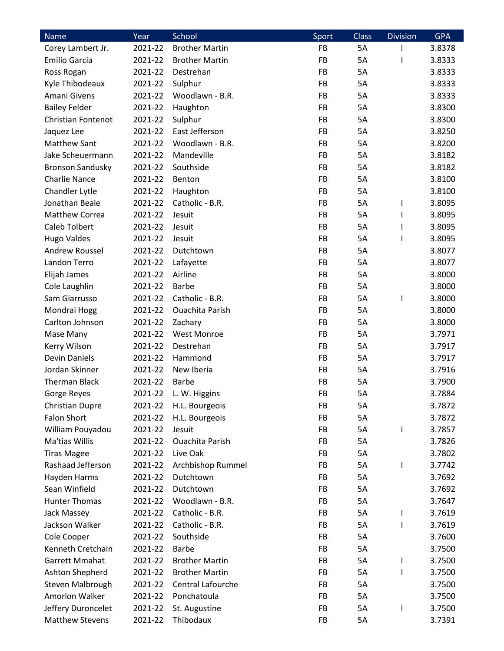| Name                      | Year    | School                 | Sport     | <b>Class</b> | <b>Division</b>   | <b>GPA</b> |
|---------------------------|---------|------------------------|-----------|--------------|-------------------|------------|
| Corey Lambert Jr.         | 2021-22 | <b>Brother Martin</b>  | <b>FB</b> | 5A           |                   | 3.8378     |
| Emilio Garcia             | 2021-22 | <b>Brother Martin</b>  | FB        | 5A           |                   | 3.8333     |
| Ross Rogan                | 2021-22 | Destrehan              | <b>FB</b> | 5A           |                   | 3.8333     |
| Kyle Thibodeaux           | 2021-22 | Sulphur                | FB        | 5A           |                   | 3.8333     |
| Amani Givens              | 2021-22 | Woodlawn - B.R.        | FB        | 5A           |                   | 3.8333     |
| <b>Bailey Felder</b>      | 2021-22 | Haughton               | FB        | 5A           |                   | 3.8300     |
| <b>Christian Fontenot</b> | 2021-22 | Sulphur                | FB        | 5A           |                   | 3.8300     |
| Jaquez Lee                | 2021-22 | East Jefferson         | FB        | 5A           |                   | 3.8250     |
| <b>Matthew Sant</b>       | 2021-22 | Woodlawn - B.R.        | <b>FB</b> | 5A           |                   | 3.8200     |
| Jake Scheuermann          | 2021-22 | Mandeville             | FB        | 5A           |                   | 3.8182     |
| <b>Bronson Sandusky</b>   | 2021-22 | Southside              | <b>FB</b> | 5A           |                   | 3.8182     |
| <b>Charlie Nance</b>      | 2021-22 | Benton                 | FB        | 5A           |                   | 3.8100     |
| Chandler Lytle            | 2021-22 | Haughton               | <b>FB</b> | 5A           |                   | 3.8100     |
| Jonathan Beale            | 2021-22 | Catholic - B.R.        | <b>FB</b> | 5A           | I                 | 3.8095     |
| Matthew Correa            | 2021-22 | Jesuit                 | FB        | 5A           |                   | 3.8095     |
| <b>Caleb Tolbert</b>      | 2021-22 | Jesuit                 | FB        | 5A           | L                 | 3.8095     |
| <b>Hugo Valdes</b>        | 2021-22 | Jesuit                 | FB        | 5A           | I                 | 3.8095     |
| Andrew Roussel            | 2021-22 | Dutchtown              | <b>FB</b> | 5A           |                   | 3.8077     |
| Landon Terro              | 2021-22 | Lafayette              | <b>FB</b> | 5A           |                   | 3.8077     |
| Elijah James              | 2021-22 | Airline                | FB        | 5A           |                   | 3.8000     |
| Cole Laughlin             | 2021-22 | <b>Barbe</b>           | FB        | 5A           |                   | 3.8000     |
| Sam Giarrusso             | 2021-22 | Catholic - B.R.        | FB        | 5A           | I                 | 3.8000     |
| Mondrai Hogg              | 2021-22 | <b>Ouachita Parish</b> | <b>FB</b> | 5A           |                   | 3.8000     |
| Carlton Johnson           | 2021-22 | Zachary                | FB        | 5A           |                   | 3.8000     |
| Mase Many                 | 2021-22 | <b>West Monroe</b>     | FB        | 5A           |                   | 3.7971     |
| Kerry Wilson              | 2021-22 | Destrehan              | <b>FB</b> | 5A           |                   | 3.7917     |
| <b>Devin Daniels</b>      | 2021-22 | Hammond                | FB        | 5A           |                   | 3.7917     |
| Jordan Skinner            | 2021-22 | New Iberia             | FB        | 5A           |                   | 3.7916     |
| <b>Therman Black</b>      | 2021-22 | <b>Barbe</b>           | FB        | 5A           |                   | 3.7900     |
| Gorge Reyes               | 2021-22 | L. W. Higgins          | FB        | 5A           |                   | 3.7884     |
| <b>Christian Dupre</b>    | 2021-22 | H.L. Bourgeois         | FB        | 5A           |                   | 3.7872     |
| <b>Falon Short</b>        | 2021-22 | H.L. Bourgeois         | FB        | 5A           |                   | 3.7872     |
| William Pouyadou          | 2021-22 | Jesuit                 | FB        | 5A           | I                 | 3.7857     |
| Ma'tias Willis            | 2021-22 | <b>Ouachita Parish</b> | FB        | 5A           |                   | 3.7826     |
| <b>Tiras Magee</b>        | 2021-22 | Live Oak               | FB        | 5A           |                   | 3.7802     |
| Rashaad Jefferson         | 2021-22 | Archbishop Rummel      | FB        | 5A           | I                 | 3.7742     |
| Hayden Harms              | 2021-22 | Dutchtown              | FB        | 5A           |                   | 3.7692     |
| Sean Winfield             | 2021-22 | Dutchtown              | FB        | 5A           |                   | 3.7692     |
| <b>Hunter Thomas</b>      | 2021-22 | Woodlawn - B.R.        | FB        | 5A           |                   | 3.7647     |
| Jack Massey               | 2021-22 | Catholic - B.R.        | FB        | 5A           |                   | 3.7619     |
| Jackson Walker            | 2021-22 | Catholic - B.R.        | FB        | 5A           | L<br>$\mathsf{I}$ | 3.7619     |
| Cole Cooper               | 2021-22 | Southside              | FB        | 5A           |                   | 3.7600     |
| Kenneth Cretchain         |         | <b>Barbe</b>           | FB        |              |                   |            |
| <b>Garrett Mmahat</b>     | 2021-22 |                        |           | 5A           |                   | 3.7500     |
|                           | 2021-22 | <b>Brother Martin</b>  | FB        | 5A           | I                 | 3.7500     |
| Ashton Shepherd           | 2021-22 | <b>Brother Martin</b>  | FB        | 5A           | I                 | 3.7500     |
| Steven Malbrough          | 2021-22 | Central Lafourche      | FB        | 5A           |                   | 3.7500     |
| <b>Amorion Walker</b>     | 2021-22 | Ponchatoula            | FB        | 5A           |                   | 3.7500     |
| Jeffery Duroncelet        | 2021-22 | St. Augustine          | FB        | 5A           |                   | 3.7500     |
| <b>Matthew Stevens</b>    | 2021-22 | Thibodaux              | FB        | 5A           |                   | 3.7391     |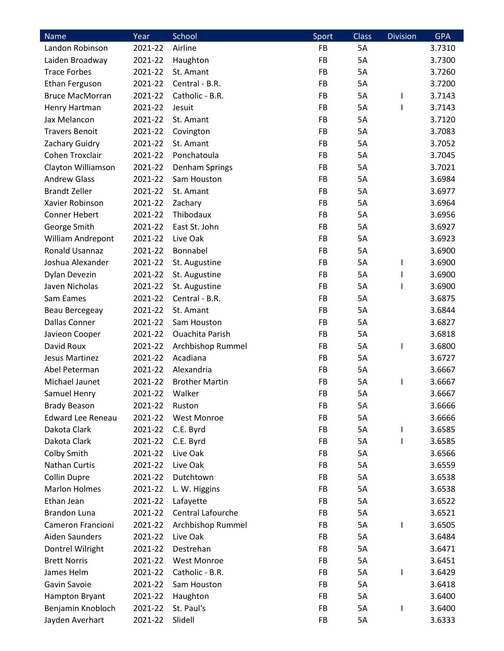| <b>Name</b>                         | Year               | School                 | Sport     | <b>Class</b> | <b>Division</b> | <b>GPA</b> |
|-------------------------------------|--------------------|------------------------|-----------|--------------|-----------------|------------|
| Landon Robinson                     | 2021-22            | Airline                | FB        | 5A           |                 | 3.7310     |
| Laiden Broadway                     | 2021-22            | Haughton               | FB        | 5A           |                 | 3.7300     |
| <b>Trace Forbes</b>                 | 2021-22            | St. Amant              | FB        | 5A           |                 | 3.7260     |
| Ethan Ferguson                      | 2021-22            | Central - B.R.         | FB        | 5A           |                 | 3.7200     |
| <b>Bruce MacMorran</b>              | 2021-22            | Catholic - B.R.        | FB        | 5A           | I               | 3.7143     |
| Henry Hartman                       | 2021-22            | Jesuit                 | FB        | 5A           | L               | 3.7143     |
| Jax Melancon                        | 2021-22            | St. Amant              | FB        | 5A           |                 | 3.7120     |
| <b>Travers Benoit</b>               | 2021-22            | Covington              | FB        | 5A           |                 | 3.7083     |
| Zachary Guidry                      | 2021-22            | St. Amant              | <b>FB</b> | 5A           |                 | 3.7052     |
| Cohen Troxclair                     | 2021-22            | Ponchatoula            | FB        | 5A           |                 | 3.7045     |
| Clayton Williamson                  | 2021-22            | Denham Springs         | <b>FB</b> | 5A           |                 | 3.7021     |
| <b>Andrew Glass</b>                 | 2021-22            | Sam Houston            | FB        | 5A           |                 | 3.6984     |
| <b>Brandt Zeller</b>                | 2021-22            | St. Amant              | FB        | 5A           |                 | 3.6977     |
| Xavier Robinson                     | 2021-22            | Zachary                | <b>FB</b> | 5A           |                 | 3.6964     |
| <b>Conner Hebert</b>                | 2021-22            | Thibodaux              | FB        | 5A           |                 | 3.6956     |
| George Smith                        | 2021-22            | East St. John          | FB        | 5A           |                 | 3.6927     |
| William Andrepont                   | 2021-22            | Live Oak               | FB        | 5A           |                 | 3.6923     |
| <b>Ronald Usannaz</b>               | 2021-22            | Bonnabel               | <b>FB</b> | 5A           |                 | 3.6900     |
| Joshua Alexander                    | 2021-22            | St. Augustine          | <b>FB</b> | 5A           | I.              | 3.6900     |
| Dylan Devezin                       | 2021-22            | St. Augustine          | FB        | 5A           | J.              | 3.6900     |
| Javen Nicholas                      | 2021-22            | St. Augustine          | FB        | 5A           |                 | 3.6900     |
| Sam Eames                           | 2021-22            | Central - B.R.         | FB        | 5A           |                 | 3.6875     |
| Beau Bercegeay                      | 2021-22            | St. Amant              | <b>FB</b> | 5A           |                 | 3.6844     |
| <b>Dallas Conner</b>                | 2021-22            | Sam Houston            | FB        | 5A           |                 | 3.6827     |
| Javieon Cooper                      | 2021-22            | <b>Ouachita Parish</b> | FB        | 5A           |                 | 3.6818     |
| David Roux                          | 2021-22            | Archbishop Rummel      | <b>FB</b> | 5A           | I               | 3.6800     |
| Jesus Martinez                      | 2021-22            | Acadiana               | FB        | 5A           |                 | 3.6727     |
| Abel Peterman                       | 2021-22            | Alexandria             | FB        | 5A           |                 | 3.6667     |
| Michael Jaunet                      | 2021-22            | <b>Brother Martin</b>  | FB        | 5A           | I               | 3.6667     |
| Samuel Henry                        | 2021-22            | Walker                 | FB        | 5A           |                 | 3.6667     |
| <b>Brady Beason</b>                 | 2021-22            | Ruston                 | FB        | 5A           |                 | 3.6666     |
| <b>Edward Lee Reneau</b>            | 2021-22            | West Monroe            | FB        | 5A           |                 | 3.6666     |
| Dakota Clark                        | 2021-22            |                        | FB        | 5A           |                 | 3.6585     |
| Dakota Clark                        |                    | C.E. Byrd              |           | 5A           | I               |            |
|                                     | 2021-22<br>2021-22 | C.E. Byrd              | FB<br>FB  |              | L               | 3.6585     |
| Colby Smith<br><b>Nathan Curtis</b> |                    | Live Oak               |           | 5A           |                 | 3.6566     |
|                                     | 2021-22            | Live Oak               | FB        | 5A           |                 | 3.6559     |
| <b>Collin Dupre</b>                 | 2021-22            | Dutchtown              | FB        | 5A           |                 | 3.6538     |
| <b>Marlon Holmes</b>                | 2021-22            | L. W. Higgins          | FB        | 5A           |                 | 3.6538     |
| Ethan Jean                          | 2021-22            | Lafayette              | FB        | 5A           |                 | 3.6522     |
| <b>Brandon Luna</b>                 | 2021-22            | Central Lafourche      | FB        | 5A           |                 | 3.6521     |
| Cameron Francioni                   | 2021-22            | Archbishop Rummel      | FB        | 5A           | I.              | 3.6505     |
| Aiden Saunders                      | 2021-22            | Live Oak               | FB        | 5A           |                 | 3.6484     |
| Dontrel Wilright                    | 2021-22            | Destrehan              | FB        | 5A           |                 | 3.6471     |
| <b>Brett Norris</b>                 | 2021-22            | West Monroe            | FB        | 5A           |                 | 3.6451     |
| James Helm                          | 2021-22            | Catholic - B.R.        | FB        | 5A           | I               | 3.6429     |
| Gavin Savoie                        | 2021-22            | Sam Houston            | FB        | 5A           |                 | 3.6418     |
| Hampton Bryant                      | 2021-22            | Haughton               | FB        | 5A           |                 | 3.6400     |
| Benjamin Knobloch                   | 2021-22            | St. Paul's             | FB        | 5A           |                 | 3.6400     |
| Jayden Averhart                     | 2021-22            | Slidell                | FB        | 5A           |                 | 3.6333     |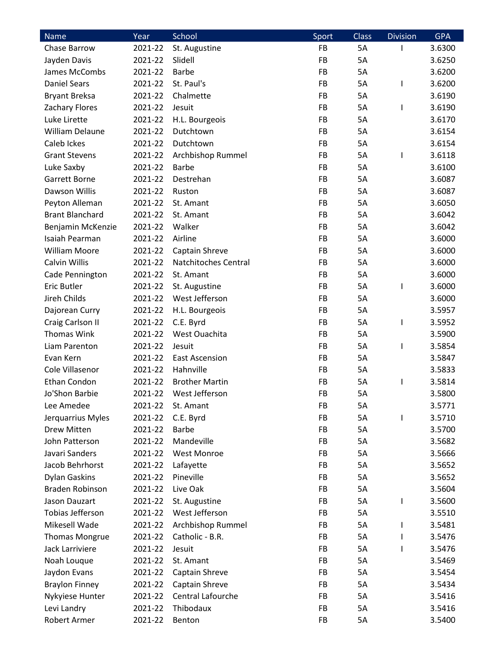| <b>Name</b>            | Year    | School                | Sport     | <b>Class</b> | <b>Division</b> | <b>GPA</b> |
|------------------------|---------|-----------------------|-----------|--------------|-----------------|------------|
| Chase Barrow           | 2021-22 | St. Augustine         | FB        | 5A           |                 | 3.6300     |
| Jayden Davis           | 2021-22 | Slidell               | FB        | 5A           |                 | 3.6250     |
| James McCombs          | 2021-22 | <b>Barbe</b>          | FB        | 5A           |                 | 3.6200     |
| <b>Daniel Sears</b>    | 2021-22 | St. Paul's            | FB        | 5A           | I               | 3.6200     |
| <b>Bryant Breksa</b>   | 2021-22 | Chalmette             | FB        | 5A           |                 | 3.6190     |
| <b>Zachary Flores</b>  | 2021-22 | Jesuit                | FB        | 5A           | I               | 3.6190     |
| Luke Lirette           | 2021-22 | H.L. Bourgeois        | FB        | 5A           |                 | 3.6170     |
| <b>William Delaune</b> | 2021-22 | Dutchtown             | FB        | 5A           |                 | 3.6154     |
| Caleb Ickes            | 2021-22 | Dutchtown             | <b>FB</b> | 5A           |                 | 3.6154     |
| <b>Grant Stevens</b>   | 2021-22 | Archbishop Rummel     | FB        | 5A           | I.              | 3.6118     |
| Luke Saxby             | 2021-22 | <b>Barbe</b>          | <b>FB</b> | 5A           |                 | 3.6100     |
| Garrett Borne          | 2021-22 | Destrehan             | <b>FB</b> | 5A           |                 | 3.6087     |
| Dawson Willis          | 2021-22 | Ruston                | FB        | 5A           |                 | 3.6087     |
| Peyton Alleman         | 2021-22 | St. Amant             | <b>FB</b> | 5A           |                 | 3.6050     |
| <b>Brant Blanchard</b> | 2021-22 | St. Amant             | FB        | 5A           |                 | 3.6042     |
| Benjamin McKenzie      | 2021-22 | Walker                | FB        | 5A           |                 | 3.6042     |
| Isaiah Pearman         | 2021-22 | Airline               | FB        | 5A           |                 | 3.6000     |
| <b>William Moore</b>   | 2021-22 | Captain Shreve        | <b>FB</b> | 5A           |                 | 3.6000     |
| Calvin Willis          | 2021-22 | Natchitoches Central  | <b>FB</b> | 5A           |                 | 3.6000     |
| Cade Pennington        | 2021-22 | St. Amant             | FB        | 5A           |                 | 3.6000     |
| <b>Eric Butler</b>     | 2021-22 | St. Augustine         | FB        | 5A           |                 | 3.6000     |
| Jireh Childs           | 2021-22 | West Jefferson        | FB        | 5A           |                 | 3.6000     |
| Dajorean Curry         | 2021-22 | H.L. Bourgeois        | <b>FB</b> | 5A           |                 | 3.5957     |
| Craig Carlson II       | 2021-22 | C.E. Byrd             | <b>FB</b> | 5A           | I               | 3.5952     |
| <b>Thomas Wink</b>     | 2021-22 | West Ouachita         | FB        | 5A           |                 | 3.5900     |
| Liam Parenton          | 2021-22 | Jesuit                | <b>FB</b> | 5A           | I               | 3.5854     |
| Evan Kern              | 2021-22 | <b>East Ascension</b> | FB        | 5A           |                 | 3.5847     |
| Cole Villasenor        | 2021-22 | Hahnville             | FB        | 5A           |                 | 3.5833     |
| Ethan Condon           | 2021-22 | <b>Brother Martin</b> | FB        | 5A           | J.              | 3.5814     |
| Jo'Shon Barbie         | 2021-22 | West Jefferson        | FB        | 5A           |                 | 3.5800     |
|                        | 2021-22 | St. Amant             | <b>FB</b> | 5A           |                 |            |
| Lee Amedee             |         |                       |           |              |                 | 3.5771     |
| Jerquarrius Myles      | 2021-22 | C.E. Byrd             | FB        | 5A           | I               | 3.5710     |
| Drew Mitten            | 2021-22 | <b>Barbe</b>          | FB        | 5A           |                 | 3.5700     |
| John Patterson         | 2021-22 | Mandeville            | FB        | 5A           |                 | 3.5682     |
| Javari Sanders         | 2021-22 | <b>West Monroe</b>    | FB        | 5A           |                 | 3.5666     |
| Jacob Behrhorst        | 2021-22 | Lafayette             | <b>FB</b> | 5A           |                 | 3.5652     |
| <b>Dylan Gaskins</b>   | 2021-22 | Pineville             | FB        | 5A           |                 | 3.5652     |
| <b>Braden Robinson</b> | 2021-22 | Live Oak              | <b>FB</b> | 5A           |                 | 3.5604     |
| Jason Dauzart          | 2021-22 | St. Augustine         | FB        | 5A           | I               | 3.5600     |
| Tobias Jefferson       | 2021-22 | West Jefferson        | FB        | 5A           |                 | 3.5510     |
| Mikesell Wade          | 2021-22 | Archbishop Rummel     | <b>FB</b> | 5A           | I               | 3.5481     |
| <b>Thomas Mongrue</b>  | 2021-22 | Catholic - B.R.       | FB        | 5A           | L               | 3.5476     |
| Jack Larriviere        | 2021-22 | Jesuit                | FB        | 5A           | I               | 3.5476     |
| Noah Louque            | 2021-22 | St. Amant             | FB        | 5A           |                 | 3.5469     |
| Jaydon Evans           | 2021-22 | Captain Shreve        | FB        | 5A           |                 | 3.5454     |
| <b>Braylon Finney</b>  | 2021-22 | Captain Shreve        | FB        | 5A           |                 | 3.5434     |
| Nykyiese Hunter        | 2021-22 | Central Lafourche     | FB        | 5A           |                 | 3.5416     |
| Levi Landry            | 2021-22 | Thibodaux             | FB        | 5A           |                 | 3.5416     |
| Robert Armer           | 2021-22 | Benton                | FB        | 5A           |                 | 3.5400     |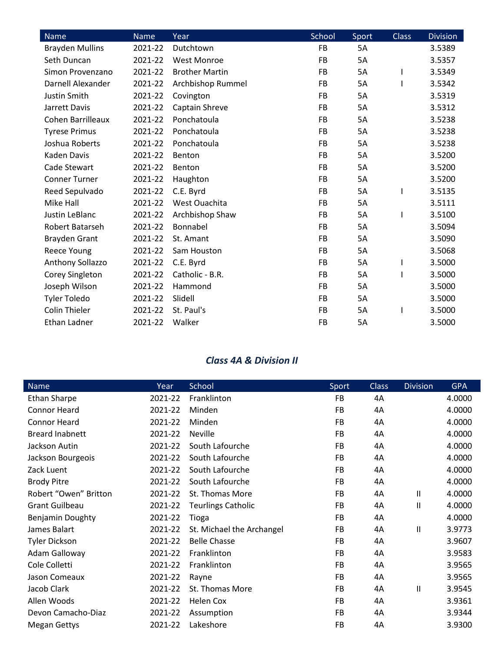| <b>Name</b>              | Name    | Year                  | School    | Sport | <b>Class</b> | <b>Division</b> |
|--------------------------|---------|-----------------------|-----------|-------|--------------|-----------------|
| <b>Brayden Mullins</b>   | 2021-22 | Dutchtown             | <b>FB</b> | 5A    |              | 3.5389          |
| Seth Duncan              | 2021-22 | <b>West Monroe</b>    | <b>FB</b> | 5A    |              | 3.5357          |
| Simon Provenzano         | 2021-22 | <b>Brother Martin</b> | FB        | 5A    |              | 3.5349          |
| Darnell Alexander        | 2021-22 | Archbishop Rummel     | <b>FB</b> | 5A    |              | 3.5342          |
| Justin Smith             | 2021-22 | Covington             | FB        | 5A    |              | 3.5319          |
| Jarrett Davis            | 2021-22 | Captain Shreve        | <b>FB</b> | 5A    |              | 3.5312          |
| <b>Cohen Barrilleaux</b> | 2021-22 | Ponchatoula           | <b>FB</b> | 5A    |              | 3.5238          |
| <b>Tyrese Primus</b>     | 2021-22 | Ponchatoula           | <b>FB</b> | 5Α    |              | 3.5238          |
| Joshua Roberts           | 2021-22 | Ponchatoula           | <b>FB</b> | 5A    |              | 3.5238          |
| Kaden Davis              | 2021-22 | Benton                | FB        | 5A    |              | 3.5200          |
| Cade Stewart             | 2021-22 | Benton                | <b>FB</b> | 5A    |              | 3.5200          |
| <b>Conner Turner</b>     | 2021-22 | Haughton              | <b>FB</b> | 5A    |              | 3.5200          |
| Reed Sepulvado           | 2021-22 | C.E. Byrd             | <b>FB</b> | 5Α    |              | 3.5135          |
| Mike Hall                | 2021-22 | West Ouachita         | <b>FB</b> | 5A    |              | 3.5111          |
| Justin LeBlanc           | 2021-22 | Archbishop Shaw       | <b>FB</b> | 5A    |              | 3.5100          |
| Robert Batarseh          | 2021-22 | Bonnabel              | FB        | 5Α    |              | 3.5094          |
| <b>Brayden Grant</b>     | 2021-22 | St. Amant             | FB        | 5A    |              | 3.5090          |
| <b>Reece Young</b>       | 2021-22 | Sam Houston           | <b>FB</b> | 5A    |              | 3.5068          |
| Anthony Sollazzo         | 2021-22 | C.E. Byrd             | <b>FB</b> | 5A    | I            | 3.5000          |
| Corey Singleton          | 2021-22 | Catholic - B.R.       | <b>FB</b> | 5Α    |              | 3.5000          |
| Joseph Wilson            | 2021-22 | Hammond               | <b>FB</b> | 5A    |              | 3.5000          |
| <b>Tyler Toledo</b>      | 2021-22 | Slidell               | FB        | 5A    |              | 3.5000          |
| <b>Colin Thieler</b>     | 2021-22 | St. Paul's            | <b>FB</b> | 5A    |              | 3.5000          |
| Ethan Ladner             | 2021-22 | Walker                | FB        | 5A    |              | 3.5000          |

### *Class 4A & Division II*

| Name                    | Year    | School                    | Sport     | <b>Class</b> | <b>Division</b> | <b>GPA</b> |
|-------------------------|---------|---------------------------|-----------|--------------|-----------------|------------|
| <b>Ethan Sharpe</b>     | 2021-22 | Franklinton               | <b>FB</b> | 4A           |                 | 4.0000     |
| <b>Connor Heard</b>     | 2021-22 | Minden                    | <b>FB</b> | 4A           |                 | 4.0000     |
| <b>Connor Heard</b>     | 2021-22 | Minden                    | FB        | 4A           |                 | 4.0000     |
| <b>Breard Inabnett</b>  | 2021-22 | <b>Neville</b>            | <b>FB</b> | 4A           |                 | 4.0000     |
| Jackson Autin           | 2021-22 | South Lafourche           | <b>FB</b> | 4A           |                 | 4.0000     |
| Jackson Bourgeois       | 2021-22 | South Lafourche           | <b>FB</b> | 4A           |                 | 4.0000     |
| Zack Luent              | 2021-22 | South Lafourche           | FB        | 4A           |                 | 4.0000     |
| <b>Brody Pitre</b>      | 2021-22 | South Lafourche           | FB        | 4A           |                 | 4.0000     |
| Robert "Owen" Britton   | 2021-22 | St. Thomas More           | <b>FB</b> | 4A           | $\mathbf{H}$    | 4.0000     |
| <b>Grant Guilbeau</b>   | 2021-22 | <b>Teurlings Catholic</b> | FB        | 4Α           | $\mathbf{H}$    | 4.0000     |
| <b>Benjamin Doughty</b> | 2021-22 | Tioga                     | <b>FB</b> | 4Α           |                 | 4.0000     |
| James Balart            | 2021-22 | St. Michael the Archangel | <b>FB</b> | 4Α           | $\mathbf{H}$    | 3.9773     |
| <b>Tyler Dickson</b>    | 2021-22 | <b>Belle Chasse</b>       | FB        | 4Α           |                 | 3.9607     |
| Adam Galloway           | 2021-22 | Franklinton               | <b>FB</b> | 4A           |                 | 3.9583     |
| Cole Colletti           | 2021-22 | Franklinton               | <b>FB</b> | 4Α           |                 | 3.9565     |
| Jason Comeaux           | 2021-22 | Rayne                     | <b>FB</b> | 4Α           |                 | 3.9565     |
| Jacob Clark             | 2021-22 | St. Thomas More           | FB        | 4Α           | $\mathbf{H}$    | 3.9545     |
| Allen Woods             | 2021-22 | Helen Cox                 | <b>FB</b> | 4A           |                 | 3.9361     |
| Devon Camacho-Diaz      | 2021-22 | Assumption                | FB        | 4Α           |                 | 3.9344     |
| <b>Megan Gettys</b>     | 2021-22 | Lakeshore                 | FB        | 4Α           |                 | 3.9300     |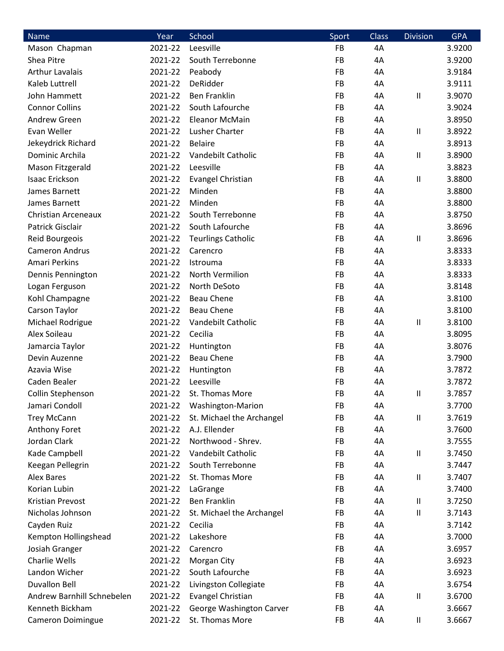| Name                       | Year    | School                    | Sport | <b>Class</b> | <b>Division</b>            | <b>GPA</b> |
|----------------------------|---------|---------------------------|-------|--------------|----------------------------|------------|
| Mason Chapman              | 2021-22 | Leesville                 | FB    | 4A           |                            | 3.9200     |
| Shea Pitre                 | 2021-22 | South Terrebonne          | FB    | 4A           |                            | 3.9200     |
| <b>Arthur Lavalais</b>     | 2021-22 | Peabody                   | FB    | 4A           |                            | 3.9184     |
| Kaleb Luttrell             | 2021-22 | DeRidder                  | FB    | 4A           |                            | 3.9111     |
| John Hammett               | 2021-22 | <b>Ben Franklin</b>       | FB    | 4A           | Ш                          | 3.9070     |
| <b>Connor Collins</b>      | 2021-22 | South Lafourche           | FB    | 4A           |                            | 3.9024     |
| <b>Andrew Green</b>        | 2021-22 | <b>Eleanor McMain</b>     | FB    | 4A           |                            | 3.8950     |
| Evan Weller                | 2021-22 | <b>Lusher Charter</b>     | FB    | 4A           | Ш                          | 3.8922     |
| Jekeydrick Richard         | 2021-22 | <b>Belaire</b>            | FB    | 4A           |                            | 3.8913     |
| Dominic Archila            | 2021-22 | Vandebilt Catholic        | FB    | 4A           | $\ensuremath{\mathsf{II}}$ | 3.8900     |
| Mason Fitzgerald           | 2021-22 | Leesville                 | FB    | 4A           |                            | 3.8823     |
| <b>Isaac Erickson</b>      | 2021-22 | <b>Evangel Christian</b>  | FB    | 4A           | $\mathsf{II}$              | 3.8800     |
| James Barnett              | 2021-22 | Minden                    | FB    | 4A           |                            | 3.8800     |
| James Barnett              | 2021-22 | Minden                    | FB    | 4A           |                            | 3.8800     |
| <b>Christian Arceneaux</b> | 2021-22 | South Terrebonne          | FB    | 4A           |                            | 3.8750     |
| Patrick Gisclair           | 2021-22 | South Lafourche           | FB    | 4A           |                            | 3.8696     |
| Reid Bourgeois             | 2021-22 | <b>Teurlings Catholic</b> | FB    | 4A           | $\mathsf{II}$              | 3.8696     |
| <b>Cameron Andrus</b>      | 2021-22 | Carencro                  | FB    | 4A           |                            | 3.8333     |
| Amari Perkins              | 2021-22 | Istrouma                  | FB    | 4A           |                            | 3.8333     |
| Dennis Pennington          | 2021-22 | North Vermilion           | FB    | 4A           |                            | 3.8333     |
| Logan Ferguson             | 2021-22 | North DeSoto              | FB    | 4A           |                            | 3.8148     |
| Kohl Champagne             | 2021-22 | <b>Beau Chene</b>         | FB    | 4A           |                            | 3.8100     |
| Carson Taylor              | 2021-22 | <b>Beau Chene</b>         | FB    | 4A           |                            | 3.8100     |
| Michael Rodrigue           | 2021-22 | Vandebilt Catholic        | FB    | 4A           | Ш                          | 3.8100     |
| Alex Soileau               | 2021-22 | Cecilia                   | FB    | 4A           |                            | 3.8095     |
| Jamarcia Taylor            | 2021-22 | Huntington                | FB    | 4A           |                            | 3.8076     |
| Devin Auzenne              | 2021-22 | <b>Beau Chene</b>         | FB    | 4A           |                            | 3.7900     |
| Azavia Wise                | 2021-22 | Huntington                | FB    | 4A           |                            | 3.7872     |
| Caden Bealer               | 2021-22 | Leesville                 | FB    | 4A           |                            | 3.7872     |
| Collin Stephenson          | 2021-22 | St. Thomas More           | FB    | 4A           | $\mathbf{I}$               | 3.7857     |
| Jamari Condoll             | 2021-22 | Washington-Marion         | FB    | 4A           |                            | 3.7700     |
| <b>Trey McCann</b>         | 2021-22 | St. Michael the Archangel | FB    | 4A           | Ш                          | 3.7619     |
| Anthony Foret              | 2021-22 | A.J. Ellender             | FB    | 4A           |                            | 3.7600     |
| Jordan Clark               | 2021-22 | Northwood - Shrev.        | FB    | 4A           |                            | 3.7555     |
| Kade Campbell              | 2021-22 | Vandebilt Catholic        | FB    | 4A           | Ш                          | 3.7450     |
| Keegan Pellegrin           | 2021-22 | South Terrebonne          | FB    | 4A           |                            | 3.7447     |
| <b>Alex Bares</b>          | 2021-22 | St. Thomas More           | FB    | 4A           | Ш                          | 3.7407     |
| Korian Lubin               | 2021-22 | LaGrange                  | FB    | 4A           |                            | 3.7400     |
| Kristian Prevost           | 2021-22 | <b>Ben Franklin</b>       | FB    | 4A           | $\mathbf{II}$              | 3.7250     |
| Nicholas Johnson           | 2021-22 | St. Michael the Archangel | FB    | 4A           | Ш                          | 3.7143     |
| Cayden Ruiz                | 2021-22 | Cecilia                   | FB    | 4A           |                            | 3.7142     |
| Kempton Hollingshead       | 2021-22 | Lakeshore                 | FB    | 4A           |                            | 3.7000     |
| Josiah Granger             | 2021-22 | Carencro                  | FB    | 4A           |                            | 3.6957     |
| <b>Charlie Wells</b>       | 2021-22 | Morgan City               | FB    | 4A           |                            | 3.6923     |
| Landon Wicher              | 2021-22 | South Lafourche           | FB    | 4A           |                            | 3.6923     |
| <b>Duvallon Bell</b>       | 2021-22 | Livingston Collegiate     | FB    | 4A           |                            | 3.6754     |
| Andrew Barnhill Schnebelen | 2021-22 | Evangel Christian         | FB    | 4A           | Ш                          | 3.6700     |
| Kenneth Bickham            | 2021-22 | George Washington Carver  | FB    | 4A           |                            | 3.6667     |
| Cameron Doimingue          | 2021-22 | St. Thomas More           | FB    | 4A           | $\ensuremath{\mathsf{II}}$ | 3.6667     |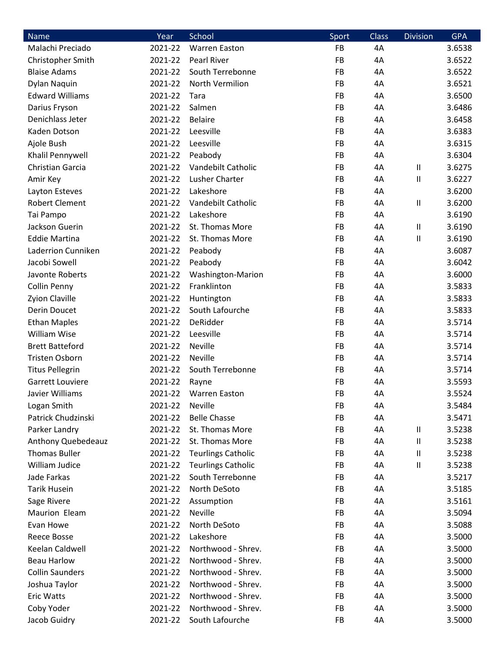| <b>Name</b>             | Year    | School                    | Sport | <b>Class</b> | <b>Division</b>            | <b>GPA</b> |
|-------------------------|---------|---------------------------|-------|--------------|----------------------------|------------|
| Malachi Preciado        | 2021-22 | <b>Warren Easton</b>      | FB    | 4A           |                            | 3.6538     |
| Christopher Smith       | 2021-22 | Pearl River               | FB    | 4A           |                            | 3.6522     |
| <b>Blaise Adams</b>     | 2021-22 | South Terrebonne          | FB    | 4A           |                            | 3.6522     |
| Dylan Naquin            | 2021-22 | North Vermilion           | FB    | 4A           |                            | 3.6521     |
| <b>Edward Williams</b>  | 2021-22 | Tara                      | FB    | 4A           |                            | 3.6500     |
| Darius Fryson           | 2021-22 | Salmen                    | FB    | 4A           |                            | 3.6486     |
| Denichlass Jeter        | 2021-22 | <b>Belaire</b>            | FB    | 4A           |                            | 3.6458     |
| Kaden Dotson            | 2021-22 | Leesville                 | FB    | 4A           |                            | 3.6383     |
| Ajole Bush              | 2021-22 | Leesville                 | FB    | 4A           |                            | 3.6315     |
| Khalil Pennywell        | 2021-22 | Peabody                   | FB    | 4A           |                            | 3.6304     |
| <b>Christian Garcia</b> | 2021-22 | Vandebilt Catholic        | FB    | 4A           | Ш                          | 3.6275     |
| Amir Key                | 2021-22 | Lusher Charter            | FB    | 4A           | Ш                          | 3.6227     |
| Layton Esteves          | 2021-22 | Lakeshore                 | FB    | 4A           |                            | 3.6200     |
| <b>Robert Clement</b>   | 2021-22 | Vandebilt Catholic        | FB    | 4A           | Ш                          | 3.6200     |
| Tai Pampo               | 2021-22 | Lakeshore                 | FB    | 4A           |                            | 3.6190     |
| Jackson Guerin          | 2021-22 | St. Thomas More           | FB    | 4A           | $\mathbf{II}$              | 3.6190     |
| <b>Eddie Martina</b>    | 2021-22 | St. Thomas More           | FB    | 4A           | Ш                          | 3.6190     |
| Laderrion Cunniken      | 2021-22 | Peabody                   | FB    | 4A           |                            | 3.6087     |
| Jacobi Sowell           | 2021-22 | Peabody                   | FB    | 4A           |                            | 3.6042     |
| Javonte Roberts         | 2021-22 | Washington-Marion         | FB    | 4A           |                            | 3.6000     |
| Collin Penny            | 2021-22 | Franklinton               | FB    | 4A           |                            | 3.5833     |
| Zyion Claville          | 2021-22 | Huntington                | FB    | 4A           |                            | 3.5833     |
| Derin Doucet            | 2021-22 | South Lafourche           | FB    | 4A           |                            | 3.5833     |
| <b>Ethan Maples</b>     | 2021-22 | DeRidder                  | FB    | 4A           |                            | 3.5714     |
| <b>William Wise</b>     | 2021-22 | Leesville                 | FB    | 4A           |                            | 3.5714     |
| <b>Brett Batteford</b>  | 2021-22 | Neville                   | FB    | 4A           |                            | 3.5714     |
| Tristen Osborn          | 2021-22 | Neville                   | FB    | 4A           |                            | 3.5714     |
| <b>Titus Pellegrin</b>  | 2021-22 | South Terrebonne          | FB    | 4A           |                            | 3.5714     |
| Garrett Louviere        | 2021-22 | Rayne                     | FB    | 4A           |                            | 3.5593     |
| Javier Williams         | 2021-22 | Warren Easton             | FB    | 4A           |                            | 3.5524     |
| Logan Smith             | 2021-22 | Neville                   | FB    | 4A           |                            | 3.5484     |
| Patrick Chudzinski      | 2021-22 | <b>Belle Chasse</b>       | FB    | 4A           |                            | 3.5471     |
| Parker Landry           | 2021-22 | St. Thomas More           | FB    | 4A           | Ш                          | 3.5238     |
| Anthony Quebedeauz      | 2021-22 | St. Thomas More           | FB    | 4A           | $\ensuremath{\mathsf{II}}$ | 3.5238     |
| <b>Thomas Buller</b>    | 2021-22 | <b>Teurlings Catholic</b> | FB    | 4A           | $\ensuremath{\mathsf{II}}$ | 3.5238     |
| William Judice          | 2021-22 | <b>Teurlings Catholic</b> | FB    | 4A           | $\ensuremath{\mathsf{II}}$ | 3.5238     |
| Jade Farkas             | 2021-22 | South Terrebonne          | FB    | 4A           |                            | 3.5217     |
| <b>Tarik Husein</b>     | 2021-22 | North DeSoto              | FB    | 4A           |                            | 3.5185     |
| Sage Rivere             | 2021-22 | Assumption                | FB    | 4A           |                            | 3.5161     |
| Maurion Eleam           | 2021-22 | Neville                   | FB    | 4A           |                            | 3.5094     |
| Evan Howe               | 2021-22 | North DeSoto              | FB    | 4A           |                            | 3.5088     |
| <b>Reece Bosse</b>      | 2021-22 | Lakeshore                 | FB    | 4A           |                            | 3.5000     |
| Keelan Caldwell         | 2021-22 | Northwood - Shrev.        | FB    | 4A           |                            | 3.5000     |
| <b>Beau Harlow</b>      | 2021-22 | Northwood - Shrev.        | FB    | 4A           |                            | 3.5000     |
| <b>Collin Saunders</b>  | 2021-22 | Northwood - Shrev.        | FB    | 4A           |                            | 3.5000     |
| Joshua Taylor           | 2021-22 | Northwood - Shrev.        | FB    | 4A           |                            | 3.5000     |
| <b>Eric Watts</b>       | 2021-22 | Northwood - Shrev.        | FB    | 4A           |                            | 3.5000     |
| Coby Yoder              | 2021-22 | Northwood - Shrev.        | FB    | 4A           |                            | 3.5000     |
| Jacob Guidry            | 2021-22 | South Lafourche           | FB    | 4A           |                            | 3.5000     |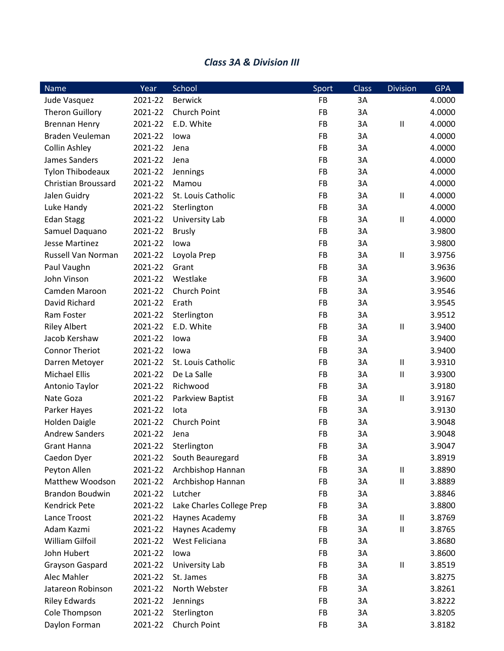#### *Class 3A & Division III*

| Name                       | Year    | School                    | Sport     | Class | <b>Division</b> | <b>GPA</b> |
|----------------------------|---------|---------------------------|-----------|-------|-----------------|------------|
| Jude Vasquez               | 2021-22 | <b>Berwick</b>            | FB        | 3A    |                 | 4.0000     |
| <b>Theron Guillory</b>     | 2021-22 | Church Point              | FB        | 3A    |                 | 4.0000     |
| <b>Brennan Henry</b>       | 2021-22 | E.D. White                | FB        | 3A    | $\mathsf{I}$    | 4.0000     |
| Braden Veuleman            | 2021-22 | lowa                      | FB        | 3A    |                 | 4.0000     |
| Collin Ashley              | 2021-22 | Jena                      | FB        | 3A    |                 | 4.0000     |
| James Sanders              | 2021-22 | Jena                      | FB        | 3A    |                 | 4.0000     |
| <b>Tylon Thibodeaux</b>    | 2021-22 | Jennings                  | FB        | 3A    |                 | 4.0000     |
| <b>Christian Broussard</b> | 2021-22 | Mamou                     | FB        | 3A    |                 | 4.0000     |
| Jalen Guidry               | 2021-22 | St. Louis Catholic        | FB        | 3A    | Ш               | 4.0000     |
| Luke Handy                 | 2021-22 | Sterlington               | <b>FB</b> | 3A    |                 | 4.0000     |
| <b>Edan Stagg</b>          | 2021-22 | University Lab            | FB        | 3A    | $\mathsf{II}$   | 4.0000     |
| Samuel Daquano             | 2021-22 | <b>Brusly</b>             | FB        | 3A    |                 | 3.9800     |
| <b>Jesse Martinez</b>      | 2021-22 | lowa                      | FB        | 3A    |                 | 3.9800     |
| Russell Van Norman         | 2021-22 | Loyola Prep               | FB        | 3A    | $\mathbf{  }$   | 3.9756     |
| Paul Vaughn                | 2021-22 | Grant                     | <b>FB</b> | 3A    |                 | 3.9636     |
| John Vinson                | 2021-22 | Westlake                  | FB        | 3A    |                 | 3.9600     |
| Camden Maroon              | 2021-22 | Church Point              | FB        | 3A    |                 | 3.9546     |
| David Richard              | 2021-22 | Erath                     | FB        | 3A    |                 | 3.9545     |
| Ram Foster                 | 2021-22 | Sterlington               | FB        | 3A    |                 | 3.9512     |
| <b>Riley Albert</b>        | 2021-22 | E.D. White                | FB        | 3A    | $\mathsf{I}$    | 3.9400     |
| Jacob Kershaw              | 2021-22 | lowa                      | FB        | 3A    |                 | 3.9400     |
| <b>Connor Theriot</b>      | 2021-22 | lowa                      | FB        | 3A    |                 | 3.9400     |
| Darren Metoyer             | 2021-22 | St. Louis Catholic        | FB        | 3A    | Ш               | 3.9310     |
| <b>Michael Ellis</b>       | 2021-22 | De La Salle               | FB        | 3A    | $\mathsf{I}$    | 3.9300     |
| Antonio Taylor             | 2021-22 | Richwood                  | FB        | 3A    |                 | 3.9180     |
| Nate Goza                  | 2021-22 | Parkview Baptist          | FB        | 3A    | Ш               | 3.9167     |
| Parker Hayes               | 2021-22 | lota                      | FB        | 3A    |                 | 3.9130     |
| <b>Holden Daigle</b>       | 2021-22 | Church Point              | FB        | 3A    |                 | 3.9048     |
| <b>Andrew Sanders</b>      | 2021-22 | Jena                      | FB        | 3A    |                 | 3.9048     |
| <b>Grant Hanna</b>         | 2021-22 | Sterlington               | FB        | 3A    |                 | 3.9047     |
| Caedon Dyer                | 2021-22 | South Beauregard          | FB        | 3A    |                 | 3.8919     |
| Peyton Allen               | 2021-22 | Archbishop Hannan         | FB        | 3A    | $\sf II$        | 3.8890     |
| Matthew Woodson            | 2021-22 | Archbishop Hannan         | FB        | 3A    | $\mathsf{I}$    | 3.8889     |
| <b>Brandon Boudwin</b>     | 2021-22 | Lutcher                   | FB        | 3A    |                 | 3.8846     |
| <b>Kendrick Pete</b>       | 2021-22 | Lake Charles College Prep | FB        | 3A    |                 | 3.8800     |
| Lance Troost               | 2021-22 | Haynes Academy            | FB        | 3A    | Ш               | 3.8769     |
| Adam Kazmi                 | 2021-22 | Haynes Academy            | FB        | 3A    | $\sf II$        | 3.8765     |
| <b>William Gilfoil</b>     | 2021-22 | West Feliciana            | FB        | 3A    |                 | 3.8680     |
| John Hubert                | 2021-22 | lowa                      | FB        | 3A    |                 | 3.8600     |
| Grayson Gaspard            | 2021-22 | University Lab            | FB        | 3A    | Ш               | 3.8519     |
| Alec Mahler                | 2021-22 | St. James                 | FB        | 3A    |                 | 3.8275     |
| Jatareon Robinson          | 2021-22 | North Webster             | FB        | 3A    |                 |            |
|                            | 2021-22 |                           |           |       |                 | 3.8261     |
| <b>Riley Edwards</b>       |         | Jennings                  | FB        | 3A    |                 | 3.8222     |
| Cole Thompson              | 2021-22 | Sterlington               | FB        | 3A    |                 | 3.8205     |
| Daylon Forman              | 2021-22 | Church Point              | FB        | 3A    |                 | 3.8182     |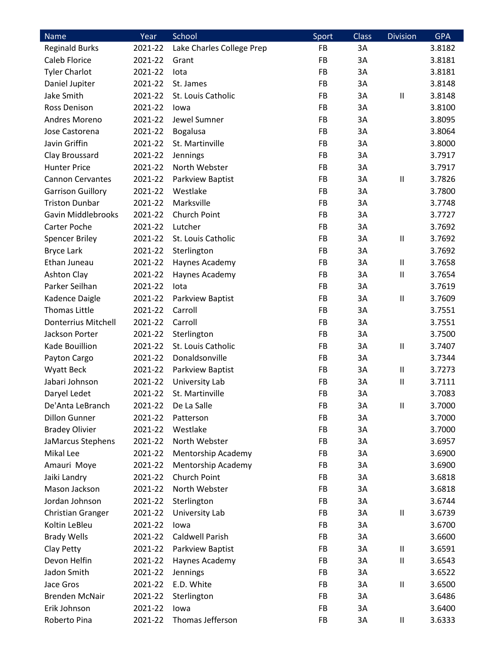| <b>Name</b>                    | Year    | School                    | Sport     | <b>Class</b> | <b>Division</b>            | <b>GPA</b> |
|--------------------------------|---------|---------------------------|-----------|--------------|----------------------------|------------|
| <b>Reginald Burks</b>          | 2021-22 | Lake Charles College Prep | FB        | 3A           |                            | 3.8182     |
| Caleb Florice                  | 2021-22 | Grant                     | <b>FB</b> | 3A           |                            | 3.8181     |
| <b>Tyler Charlot</b>           | 2021-22 | lota                      | FB        | 3A           |                            | 3.8181     |
| Daniel Jupiter                 | 2021-22 | St. James                 | FB        | 3A           |                            | 3.8148     |
| Jake Smith                     | 2021-22 | St. Louis Catholic        | <b>FB</b> | 3A           | $\ensuremath{\mathsf{II}}$ | 3.8148     |
| Ross Denison                   | 2021-22 | lowa                      | <b>FB</b> | 3A           |                            | 3.8100     |
| Andres Moreno                  | 2021-22 | Jewel Sumner              | <b>FB</b> | 3A           |                            | 3.8095     |
| Jose Castorena                 | 2021-22 | <b>Bogalusa</b>           | FB        | 3A           |                            | 3.8064     |
| Javin Griffin                  | 2021-22 | St. Martinville           | FB        | 3A           |                            | 3.8000     |
| Clay Broussard                 | 2021-22 | Jennings                  | FB        | 3A           |                            | 3.7917     |
| <b>Hunter Price</b>            | 2021-22 | North Webster             | <b>FB</b> | 3A           |                            | 3.7917     |
| <b>Cannon Cervantes</b>        | 2021-22 | Parkview Baptist          | FB        | 3A           | $\ensuremath{\mathsf{II}}$ | 3.7826     |
| <b>Garrison Guillory</b>       | 2021-22 | Westlake                  | FB        | 3A           |                            | 3.7800     |
| <b>Triston Dunbar</b>          | 2021-22 | Marksville                | <b>FB</b> | 3A           |                            | 3.7748     |
| Gavin Middlebrooks             | 2021-22 | Church Point              | FB        | 3A           |                            | 3.7727     |
| Carter Poche                   | 2021-22 | Lutcher                   | <b>FB</b> | 3A           |                            | 3.7692     |
| <b>Spencer Briley</b>          | 2021-22 | St. Louis Catholic        | <b>FB</b> | 3A           | $\ensuremath{\mathsf{II}}$ | 3.7692     |
| <b>Bryce Lark</b>              | 2021-22 | Sterlington               | FB        | 3A           |                            | 3.7692     |
| Ethan Juneau                   | 2021-22 | Haynes Academy            | FB        | 3A           | $\ensuremath{\mathsf{II}}$ | 3.7658     |
| <b>Ashton Clay</b>             | 2021-22 | Haynes Academy            | FB        | 3A           | $\ensuremath{\mathsf{II}}$ | 3.7654     |
| Parker Seilhan                 | 2021-22 | lota                      | <b>FB</b> | 3A           |                            | 3.7619     |
| Kadence Daigle                 | 2021-22 | Parkview Baptist          | FB        | 3A           | $\ensuremath{\mathsf{II}}$ | 3.7609     |
| <b>Thomas Little</b>           | 2021-22 | Carroll                   | FB        | 3A           |                            | 3.7551     |
| <b>Donterrius Mitchell</b>     | 2021-22 | Carroll                   | FB        | 3A           |                            | 3.7551     |
| Jackson Porter                 | 2021-22 | Sterlington               | <b>FB</b> | 3A           |                            | 3.7500     |
| Kade Bouillion                 | 2021-22 | St. Louis Catholic        | <b>FB</b> | 3A           | $\ensuremath{\mathsf{II}}$ | 3.7407     |
| Payton Cargo                   | 2021-22 | Donaldsonville            | FB        | 3A           |                            | 3.7344     |
| <b>Wyatt Beck</b>              | 2021-22 | Parkview Baptist          | FB        | 3A           | Ш                          | 3.7273     |
| Jabari Johnson                 | 2021-22 | University Lab            | FB        | 3A           | $\ensuremath{\mathsf{II}}$ | 3.7111     |
| Daryel Ledet                   | 2021-22 | St. Martinville           | FB        | 3A           |                            | 3.7083     |
| De'Anta LeBranch               | 2021-22 | De La Salle               | FB        | 3A           | $\ensuremath{\mathsf{II}}$ | 3.7000     |
| <b>Dillon Gunner</b>           | 2021-22 | Patterson                 | FB        | 3A           |                            | 3.7000     |
|                                | 2021-22 | Westlake                  | FB        | 3A           |                            | 3.7000     |
| <b>Bradey Olivier</b>          |         | North Webster             |           |              |                            |            |
| JaMarcus Stephens<br>Mikal Lee | 2021-22 |                           | FB        | 3A           |                            | 3.6957     |
|                                | 2021-22 | <b>Mentorship Academy</b> | FB        | 3A           |                            | 3.6900     |
| Amauri Moye                    | 2021-22 | Mentorship Academy        | FB        | 3A           |                            | 3.6900     |
| Jaiki Landry                   | 2021-22 | Church Point              | FB        | 3A           |                            | 3.6818     |
| Mason Jackson                  | 2021-22 | North Webster             | FB        | 3A           |                            | 3.6818     |
| Jordan Johnson                 | 2021-22 | Sterlington               | FB        | 3A           |                            | 3.6744     |
| <b>Christian Granger</b>       | 2021-22 | University Lab            | FB        | 3A           | $\ensuremath{\mathsf{II}}$ | 3.6739     |
| Koltin LeBleu                  | 2021-22 | lowa                      | FB        | 3A           |                            | 3.6700     |
| <b>Brady Wells</b>             | 2021-22 | Caldwell Parish           | FB        | 3A           |                            | 3.6600     |
| Clay Petty                     | 2021-22 | Parkview Baptist          | <b>FB</b> | 3A           | $\mathsf{I}$               | 3.6591     |
| Devon Helfin                   | 2021-22 | Haynes Academy            | FB        | 3A           | Ш                          | 3.6543     |
| Jadon Smith                    | 2021-22 | <b>Jennings</b>           | FB        | 3A           |                            | 3.6522     |
| Jace Gros                      | 2021-22 | E.D. White                | FB        | 3A           | $\mathsf{I}$               | 3.6500     |
| <b>Brenden McNair</b>          | 2021-22 | Sterlington               | FB        | 3A           |                            | 3.6486     |
| Erik Johnson                   | 2021-22 | lowa                      | FB        | 3A           |                            | 3.6400     |
| Roberto Pina                   | 2021-22 | Thomas Jefferson          | FB        | 3A           | Ш                          | 3.6333     |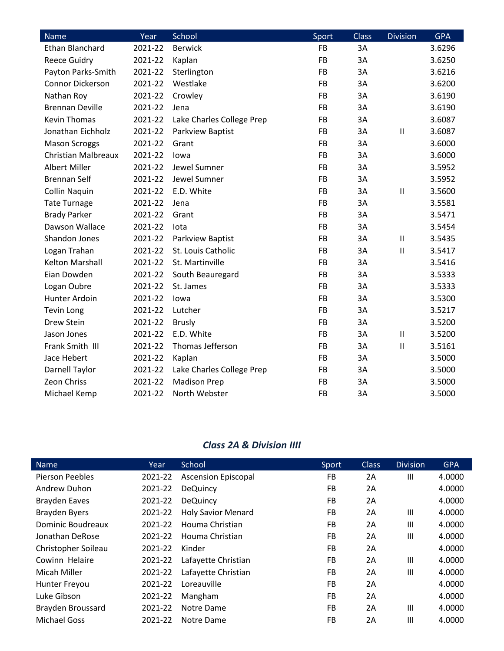| <b>Name</b>                | Year    | School                    | Sport     | <b>Class</b> | <b>Division</b> | <b>GPA</b> |
|----------------------------|---------|---------------------------|-----------|--------------|-----------------|------------|
| <b>Ethan Blanchard</b>     | 2021-22 | <b>Berwick</b>            | <b>FB</b> | 3A           |                 | 3.6296     |
| <b>Reece Guidry</b>        | 2021-22 | Kaplan                    | FB        | 3A           |                 | 3.6250     |
| Payton Parks-Smith         | 2021-22 | Sterlington               | FB        | 3A           |                 | 3.6216     |
| <b>Connor Dickerson</b>    | 2021-22 | Westlake                  | FB        | 3A           |                 | 3.6200     |
| Nathan Roy                 | 2021-22 | Crowley                   | FB        | 3A           |                 | 3.6190     |
| <b>Brennan Deville</b>     | 2021-22 | Jena                      | FB        | 3A           |                 | 3.6190     |
| <b>Kevin Thomas</b>        | 2021-22 | Lake Charles College Prep | FB        | 3A           |                 | 3.6087     |
| Jonathan Eichholz          | 2021-22 | Parkview Baptist          | FB        | 3A           | $\sf II$        | 3.6087     |
| <b>Mason Scroggs</b>       | 2021-22 | Grant                     | FB        | 3A           |                 | 3.6000     |
| <b>Christian Malbreaux</b> | 2021-22 | lowa                      | FB        | 3A           |                 | 3.6000     |
| <b>Albert Miller</b>       | 2021-22 | Jewel Sumner              | FB        | 3A           |                 | 3.5952     |
| <b>Brennan Self</b>        | 2021-22 | Jewel Sumner              | FB        | 3A           |                 | 3.5952     |
| <b>Collin Naquin</b>       | 2021-22 | E.D. White                | FB        | 3A           | $\mathbf{I}$    | 3.5600     |
| <b>Tate Turnage</b>        | 2021-22 | Jena                      | FB        | 3A           |                 | 3.5581     |
| <b>Brady Parker</b>        | 2021-22 | Grant                     | FB        | 3A           |                 | 3.5471     |
| Dawson Wallace             | 2021-22 | lota                      | FB        | 3A           |                 | 3.5454     |
| Shandon Jones              | 2021-22 | Parkview Baptist          | FB        | 3A           | $\sf II$        | 3.5435     |
| Logan Trahan               | 2021-22 | St. Louis Catholic        | FB        | 3A           | $\mathsf{II}$   | 3.5417     |
| Kelton Marshall            | 2021-22 | St. Martinville           | FB        | 3A           |                 | 3.5416     |
| Eian Dowden                | 2021-22 | South Beauregard          | FB        | 3A           |                 | 3.5333     |
| Logan Oubre                | 2021-22 | St. James                 | <b>FB</b> | 3A           |                 | 3.5333     |
| Hunter Ardoin              | 2021-22 | lowa                      | FB        | 3A           |                 | 3.5300     |
| <b>Tevin Long</b>          | 2021-22 | Lutcher                   | <b>FB</b> | 3A           |                 | 3.5217     |
| Drew Stein                 | 2021-22 | <b>Brusly</b>             | FB        | 3A           |                 | 3.5200     |
| Jason Jones                | 2021-22 | E.D. White                | FB        | 3A           | $\sf II$        | 3.5200     |
| Frank Smith III            | 2021-22 | Thomas Jefferson          | FB        | 3A           | $\sf II$        | 3.5161     |
| Jace Hebert                | 2021-22 | Kaplan                    | FB        | 3A           |                 | 3.5000     |
| Darnell Taylor             | 2021-22 | Lake Charles College Prep | FB        | 3A           |                 | 3.5000     |
| Zeon Chriss                | 2021-22 | <b>Madison Prep</b>       | FB        | 3A           |                 | 3.5000     |
| Michael Kemp               | 2021-22 | North Webster             | <b>FB</b> | 3A           |                 | 3.5000     |

#### *Class 2A & Division IIII*

| <b>Name</b>            | Year    | School                     | Sport     | <b>Class</b> | <b>Division</b> | <b>GPA</b> |
|------------------------|---------|----------------------------|-----------|--------------|-----------------|------------|
| <b>Pierson Peebles</b> | 2021-22 | <b>Ascension Episcopal</b> | FB        | 2A           | $\mathbf{III}$  | 4.0000     |
| Andrew Duhon           | 2021-22 | <b>DeQuincy</b>            | <b>FB</b> | 2A           |                 | 4.0000     |
| Brayden Eaves          | 2021-22 | <b>DeQuincy</b>            | FB        | 2A           |                 | 4.0000     |
| <b>Brayden Byers</b>   | 2021-22 | <b>Holy Savior Menard</b>  | <b>FB</b> | 2A           | $\mathbf{III}$  | 4.0000     |
| Dominic Boudreaux      | 2021-22 | Houma Christian            | <b>FB</b> | 2A           | $\mathbf{III}$  | 4.0000     |
| Jonathan DeRose        | 2021-22 | Houma Christian            | <b>FB</b> | 2A           | $\mathbf{III}$  | 4.0000     |
| Christopher Soileau    | 2021-22 | Kinder                     | FB        | 2A           |                 | 4.0000     |
| Cowinn Helaire         | 2021-22 | Lafayette Christian        | <b>FB</b> | 2A           | $\mathbf{III}$  | 4.0000     |
| Micah Miller           | 2021-22 | Lafayette Christian        | FB        | 2A           | Ш               | 4.0000     |
| Hunter Freyou          | 2021-22 | Loreauville                | <b>FB</b> | 2A           |                 | 4.0000     |
| Luke Gibson            | 2021-22 | Mangham                    | <b>FB</b> | 2A           |                 | 4.0000     |
| Brayden Broussard      | 2021-22 | Notre Dame                 | <b>FB</b> | 2A           | $\mathbf{III}$  | 4.0000     |
| <b>Michael Goss</b>    | 2021-22 | Notre Dame                 | <b>FB</b> | 2Α           | Ш               | 4.0000     |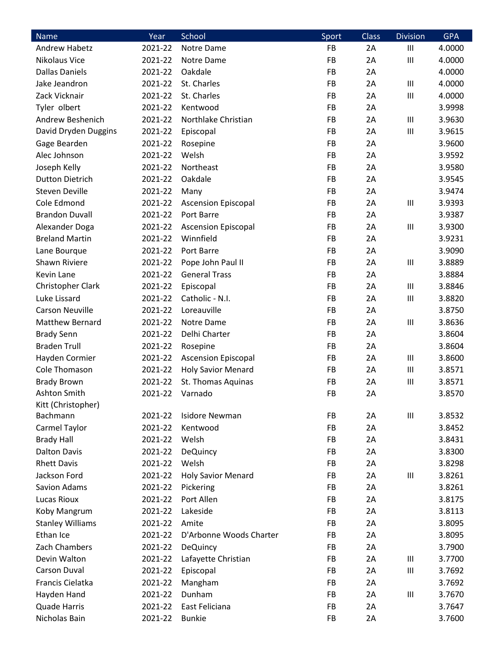| Name                    | Year    | School                     | Sport     | <b>Class</b> | <b>Division</b>                    | <b>GPA</b> |
|-------------------------|---------|----------------------------|-----------|--------------|------------------------------------|------------|
| <b>Andrew Habetz</b>    | 2021-22 | Notre Dame                 | FB        | 2A           | $\mathbf{III}$                     | 4.0000     |
| Nikolaus Vice           | 2021-22 | Notre Dame                 | FB        | 2A           | $\ensuremath{\mathsf{III}}\xspace$ | 4.0000     |
| <b>Dallas Daniels</b>   | 2021-22 | Oakdale                    | FB        | 2A           |                                    | 4.0000     |
| Jake Jeandron           | 2021-22 | St. Charles                | FB        | 2A           | $\mathbf{III}$                     | 4.0000     |
| Zack Vicknair           | 2021-22 | St. Charles                | FB        | 2A           | Ш                                  | 4.0000     |
| Tyler olbert            | 2021-22 | Kentwood                   | FB        | 2A           |                                    | 3.9998     |
| Andrew Beshenich        | 2021-22 | Northlake Christian        | FB        | 2A           | $\mathbf{III}$                     | 3.9630     |
| David Dryden Duggins    | 2021-22 | Episcopal                  | FB        | 2A           | $\ensuremath{\mathsf{III}}\xspace$ | 3.9615     |
| Gage Bearden            | 2021-22 | Rosepine                   | FB        | 2A           |                                    | 3.9600     |
| Alec Johnson            | 2021-22 | Welsh                      | FB        | 2A           |                                    | 3.9592     |
| Joseph Kelly            | 2021-22 | Northeast                  | FB        | 2A           |                                    | 3.9580     |
| <b>Dutton Dietrich</b>  | 2021-22 | Oakdale                    | FB        | 2A           |                                    | 3.9545     |
| <b>Steven Deville</b>   | 2021-22 | Many                       | FB        | 2A           |                                    | 3.9474     |
| Cole Edmond             | 2021-22 | <b>Ascension Episcopal</b> | FB        | 2A           | $\mathbf{III}$                     | 3.9393     |
| <b>Brandon Duvall</b>   | 2021-22 | Port Barre                 | FB        | 2A           |                                    | 3.9387     |
| Alexander Doga          | 2021-22 | <b>Ascension Episcopal</b> | FB        | 2A           | $\ensuremath{\mathsf{III}}\xspace$ | 3.9300     |
| <b>Breland Martin</b>   | 2021-22 | Winnfield                  | <b>FB</b> | 2A           |                                    | 3.9231     |
| Lane Bourque            | 2021-22 | Port Barre                 | FB        | 2A           |                                    | 3.9090     |
| Shawn Riviere           | 2021-22 | Pope John Paul II          | FB        | 2A           | Ш                                  | 3.8889     |
| Kevin Lane              | 2021-22 | <b>General Trass</b>       | FB        | 2A           |                                    | 3.8884     |
| Christopher Clark       | 2021-22 | Episcopal                  | FB        | 2A           | $\ensuremath{\mathsf{III}}\xspace$ | 3.8846     |
| Luke Lissard            | 2021-22 | Catholic - N.I.            | FB        | 2A           | $\mathbf{III}$                     | 3.8820     |
| <b>Carson Neuville</b>  | 2021-22 | Loreauville                | <b>FB</b> | 2A           |                                    | 3.8750     |
| Matthew Bernard         | 2021-22 | Notre Dame                 | FB        | 2A           | Ш                                  | 3.8636     |
| <b>Brady Senn</b>       | 2021-22 | Delhi Charter              | FB        | 2A           |                                    | 3.8604     |
| <b>Braden Trull</b>     | 2021-22 | Rosepine                   | FB        | 2A           |                                    | 3.8604     |
| Hayden Cormier          | 2021-22 | <b>Ascension Episcopal</b> | FB        | 2A           | $\ensuremath{\mathsf{III}}\xspace$ | 3.8600     |
| Cole Thomason           | 2021-22 | <b>Holy Savior Menard</b>  | FB        | 2A           | $\mathbf{III}$                     | 3.8571     |
| <b>Brady Brown</b>      | 2021-22 | St. Thomas Aquinas         | FB        | 2A           | $\mathbf{III}$                     | 3.8571     |
| Ashton Smith            | 2021-22 | Varnado                    | FB        | 2A           |                                    | 3.8570     |
| Kitt (Christopher)      |         |                            |           |              |                                    |            |
| Bachmann                | 2021-22 | <b>Isidore Newman</b>      | <b>FB</b> | 2A           | $\mathbf{III}$                     | 3.8532     |
| Carmel Taylor           | 2021-22 | Kentwood                   | FB        | 2A           |                                    | 3.8452     |
| <b>Brady Hall</b>       | 2021-22 | Welsh                      | FB        | 2A           |                                    | 3.8431     |
| <b>Dalton Davis</b>     | 2021-22 | DeQuincy                   | FB        | 2A           |                                    | 3.8300     |
| <b>Rhett Davis</b>      | 2021-22 | Welsh                      | FB        | 2A           |                                    | 3.8298     |
| Jackson Ford            | 2021-22 | <b>Holy Savior Menard</b>  | <b>FB</b> | 2A           | $\mathbf{III}$                     | 3.8261     |
| Savion Adams            | 2021-22 | Pickering                  | FB        | 2A           |                                    | 3.8261     |
| Lucas Rioux             | 2021-22 | Port Allen                 | <b>FB</b> | 2A           |                                    | 3.8175     |
| Koby Mangrum            | 2021-22 | Lakeside                   | FB        | 2A           |                                    | 3.8113     |
| <b>Stanley Williams</b> | 2021-22 | Amite                      | <b>FB</b> | 2A           |                                    | 3.8095     |
| Ethan Ice               | 2021-22 | D'Arbonne Woods Charter    | FB        | 2A           |                                    | 3.8095     |
| Zach Chambers           | 2021-22 | <b>DeQuincy</b>            | FB        | 2A           |                                    | 3.7900     |
| Devin Walton            | 2021-22 | Lafayette Christian        | <b>FB</b> | 2A           | $\mathbf{III}$                     | 3.7700     |
| <b>Carson Duval</b>     | 2021-22 | Episcopal                  | FB        | 2A           | $\mathbf{III}$                     | 3.7692     |
| Francis Cielatka        | 2021-22 | Mangham                    | FB        | 2A           |                                    | 3.7692     |
| Hayden Hand             | 2021-22 | Dunham                     | FB        | 2A           | $\mathbf{III}$                     | 3.7670     |
| <b>Quade Harris</b>     | 2021-22 | East Feliciana             | FB        | 2A           |                                    | 3.7647     |
| Nicholas Bain           | 2021-22 | <b>Bunkie</b>              | <b>FB</b> | 2A           |                                    | 3.7600     |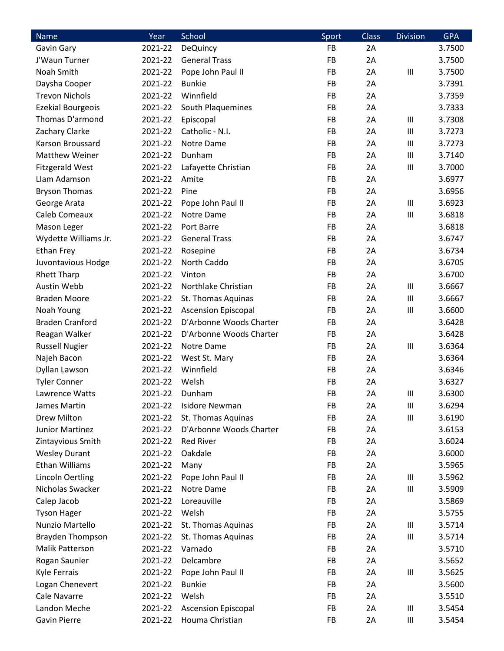| Name                     | Year    | School                     | Sport     | <b>Class</b> | <b>Division</b> | <b>GPA</b> |
|--------------------------|---------|----------------------------|-----------|--------------|-----------------|------------|
| Gavin Gary               | 2021-22 | <b>DeQuincy</b>            | FB        | 2A           |                 | 3.7500     |
| J'Waun Turner            | 2021-22 | <b>General Trass</b>       | FB        | 2A           |                 | 3.7500     |
| Noah Smith               | 2021-22 | Pope John Paul II          | <b>FB</b> | 2A           | Ш               | 3.7500     |
| Daysha Cooper            | 2021-22 | <b>Bunkie</b>              | <b>FB</b> | 2A           |                 | 3.7391     |
| <b>Trevon Nichols</b>    | 2021-22 | Winnfield                  | FB        | 2A           |                 | 3.7359     |
| <b>Ezekial Bourgeois</b> | 2021-22 | South Plaquemines          | FB        | 2A           |                 | 3.7333     |
| Thomas D'armond          | 2021-22 | Episcopal                  | FB        | 2A           | Ш               | 3.7308     |
| Zachary Clarke           | 2021-22 | Catholic - N.I.            | FB        | 2A           | Ш               | 3.7273     |
| Karson Broussard         | 2021-22 | Notre Dame                 | FB        | 2A           | Ш               | 3.7273     |
| Matthew Weiner           | 2021-22 | Dunham                     | FB        | 2A           | Ш               | 3.7140     |
| <b>Fitzgerald West</b>   | 2021-22 | Lafayette Christian        | FB        | 2A           | Ш               | 3.7000     |
| Llam Adamson             | 2021-22 | Amite                      | FB        | 2A           |                 | 3.6977     |
| <b>Bryson Thomas</b>     | 2021-22 | Pine                       | FB        | 2A           |                 | 3.6956     |
| George Arata             | 2021-22 | Pope John Paul II          | FB        | 2A           | Ш               | 3.6923     |
| Caleb Comeaux            | 2021-22 | Notre Dame                 | FB        | 2A           | Ш               | 3.6818     |
| Mason Leger              | 2021-22 | Port Barre                 | <b>FB</b> | 2A           |                 | 3.6818     |
| Wydette Williams Jr.     | 2021-22 | <b>General Trass</b>       | FB        | 2A           |                 | 3.6747     |
| <b>Ethan Frey</b>        | 2021-22 | Rosepine                   | FB        | 2A           |                 | 3.6734     |
| Juvontavious Hodge       | 2021-22 | North Caddo                | FB        | 2A           |                 | 3.6705     |
| <b>Rhett Tharp</b>       | 2021-22 | Vinton                     | FB        | 2A           |                 | 3.6700     |
| Austin Webb              | 2021-22 | Northlake Christian        | FB        | 2A           | Ш               | 3.6667     |
| <b>Braden Moore</b>      | 2021-22 | St. Thomas Aquinas         | FB        | 2A           | Ш               | 3.6667     |
| Noah Young               | 2021-22 | <b>Ascension Episcopal</b> | FB        | 2A           | Ш               | 3.6600     |
| <b>Braden Cranford</b>   | 2021-22 | D'Arbonne Woods Charter    | FB        | 2A           |                 | 3.6428     |
| Reagan Walker            | 2021-22 | D'Arbonne Woods Charter    | FB        | 2A           |                 | 3.6428     |
| <b>Russell Nugier</b>    | 2021-22 | Notre Dame                 | FB        | 2A           | Ш               | 3.6364     |
| Najeh Bacon              | 2021-22 | West St. Mary              | FB        | 2A           |                 | 3.6364     |
| Dyllan Lawson            | 2021-22 | Winnfield                  | FB        | 2A           |                 | 3.6346     |
| <b>Tyler Conner</b>      | 2021-22 | Welsh                      | <b>FB</b> | 2A           |                 | 3.6327     |
| Lawrence Watts           | 2021-22 | Dunham                     | FB        | 2A           | Ш               | 3.6300     |
| James Martin             | 2021-22 | <b>Isidore Newman</b>      | FB        | 2A           | Ш               | 3.6294     |
| Drew Milton              | 2021-22 | St. Thomas Aquinas         | FB        | 2A           | Ш               | 3.6190     |
| Junior Martinez          | 2021-22 | D'Arbonne Woods Charter    | FB        | 2A           |                 | 3.6153     |
| Zintayvious Smith        | 2021-22 | <b>Red River</b>           | FB        | 2A           |                 | 3.6024     |
| <b>Wesley Durant</b>     | 2021-22 | Oakdale                    | FB        | 2A           |                 | 3.6000     |
| Ethan Williams           | 2021-22 | Many                       | FB        | 2A           |                 | 3.5965     |
| <b>Lincoln Oertling</b>  | 2021-22 | Pope John Paul II          | FB        | 2A           | Ш               | 3.5962     |
| Nicholas Swacker         | 2021-22 | Notre Dame                 | FB        | 2A           | Ш               | 3.5909     |
| Calep Jacob              | 2021-22 | Loreauville                | FB        | 2A           |                 | 3.5869     |
| <b>Tyson Hager</b>       | 2021-22 | Welsh                      | FB        | 2A           |                 | 3.5755     |
| Nunzio Martello          | 2021-22 | St. Thomas Aquinas         | FB        | 2A           | Ш               | 3.5714     |
| <b>Brayden Thompson</b>  | 2021-22 | St. Thomas Aquinas         | FB        | 2A           | Ш               | 3.5714     |
| <b>Malik Patterson</b>   | 2021-22 | Varnado                    | FB        | 2A           |                 | 3.5710     |
| Rogan Saunier            | 2021-22 | Delcambre                  | FB        | 2A           |                 | 3.5652     |
| Kyle Ferrais             | 2021-22 | Pope John Paul II          | FB        | 2A           | Ш               | 3.5625     |
| Logan Chenevert          | 2021-22 | <b>Bunkie</b>              | FB        | 2A           |                 | 3.5600     |
| Cale Navarre             | 2021-22 | Welsh                      | FB        | 2A           |                 | 3.5510     |
| Landon Meche             | 2021-22 | <b>Ascension Episcopal</b> | FB        | 2A           | Ш               | 3.5454     |
| Gavin Pierre             | 2021-22 | Houma Christian            | FB        | 2A           | Ш               | 3.5454     |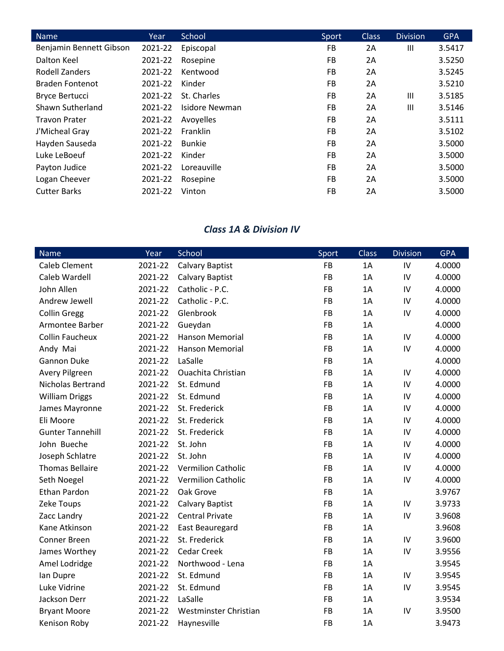| <b>Name</b>             | Year    | School         | Sport     | <b>Class</b> | <b>Division</b> | <b>GPA</b> |
|-------------------------|---------|----------------|-----------|--------------|-----------------|------------|
| Benjamin Bennett Gibson | 2021-22 | Episcopal      | FB        | 2A           | $\mathbf{III}$  | 3.5417     |
| Dalton Keel             | 2021-22 | Rosepine       | FB        | 2A           |                 | 3.5250     |
| Rodell Zanders          | 2021-22 | Kentwood       | FB.       | 2A           |                 | 3.5245     |
| <b>Braden Fontenot</b>  | 2021-22 | Kinder         | <b>FB</b> | 2A           |                 | 3.5210     |
| <b>Bryce Bertucci</b>   | 2021-22 | St. Charles    | FB        | 2A           | $\mathbf{III}$  | 3.5185     |
| Shawn Sutherland        | 2021-22 | Isidore Newman | FB        | 2A           | Ш               | 3.5146     |
| <b>Travon Prater</b>    | 2021-22 | Avoyelles      | FB        | 2A           |                 | 3.5111     |
| J'Micheal Gray          | 2021-22 | Franklin       | FB        | 2A           |                 | 3.5102     |
| Hayden Sauseda          | 2021-22 | <b>Bunkie</b>  | <b>FB</b> | 2A           |                 | 3.5000     |
| Luke LeBoeuf            | 2021-22 | Kinder         | <b>FB</b> | 2A           |                 | 3.5000     |
| Payton Judice           | 2021-22 | Loreauville    | FB        | 2A           |                 | 3.5000     |
| Logan Cheever           | 2021-22 | Rosepine       | <b>FB</b> | 2A           |                 | 3.5000     |
| <b>Cutter Barks</b>     | 2021-22 | Vinton         | <b>FB</b> | 2A           |                 | 3.5000     |

### *Class 1A & Division IV*

| <b>Name</b>             | Year    | School                    | Sport     | <b>Class</b> | <b>Division</b> | <b>GPA</b> |
|-------------------------|---------|---------------------------|-----------|--------------|-----------------|------------|
| <b>Caleb Clement</b>    | 2021-22 | <b>Calvary Baptist</b>    | <b>FB</b> | 1A           | IV              | 4.0000     |
| Caleb Wardell           | 2021-22 | <b>Calvary Baptist</b>    | <b>FB</b> | 1A           | IV              | 4.0000     |
| John Allen              | 2021-22 | Catholic - P.C.           | <b>FB</b> | 1A           | IV              | 4.0000     |
| Andrew Jewell           | 2021-22 | Catholic - P.C.           | <b>FB</b> | 1A           | IV              | 4.0000     |
| <b>Collin Gregg</b>     | 2021-22 | Glenbrook                 | <b>FB</b> | 1A           | IV              | 4.0000     |
| Armontee Barber         | 2021-22 | Gueydan                   | FB        | 1A           |                 | 4.0000     |
| <b>Collin Faucheux</b>  | 2021-22 | <b>Hanson Memorial</b>    | FB        | 1A           | IV              | 4.0000     |
| Andy Mai                | 2021-22 | <b>Hanson Memorial</b>    | FB        | 1A           | IV              | 4.0000     |
| <b>Gannon Duke</b>      | 2021-22 | LaSalle                   | FB        | 1A           |                 | 4.0000     |
| <b>Avery Pilgreen</b>   | 2021-22 | <b>Ouachita Christian</b> | FB        | 1A           | IV              | 4.0000     |
| Nicholas Bertrand       | 2021-22 | St. Edmund                | FB        | 1A           | IV              | 4.0000     |
| <b>William Driggs</b>   | 2021-22 | St. Edmund                | <b>FB</b> | 1A           | IV              | 4.0000     |
| James Mayronne          | 2021-22 | St. Frederick             | FB        | 1A           | IV              | 4.0000     |
| Eli Moore               | 2021-22 | St. Frederick             | FB        | 1A           | IV              | 4.0000     |
| <b>Gunter Tannehill</b> | 2021-22 | St. Frederick             | <b>FB</b> | 1A           | IV              | 4.0000     |
| John Bueche             | 2021-22 | St. John                  | FB        | 1A           | IV              | 4.0000     |
| Joseph Schlatre         | 2021-22 | St. John                  | <b>FB</b> | 1A           | IV              | 4.0000     |
| <b>Thomas Bellaire</b>  | 2021-22 | <b>Vermilion Catholic</b> | FB        | 1A           | IV              | 4.0000     |
| Seth Noegel             | 2021-22 | Vermilion Catholic        | FB        | 1A           | IV              | 4.0000     |
| Ethan Pardon            | 2021-22 | Oak Grove                 | <b>FB</b> | 1A           |                 | 3.9767     |
| Zeke Toups              | 2021-22 | Calvary Baptist           | FB        | 1A           | IV              | 3.9733     |
| Zacc Landry             | 2021-22 | <b>Central Private</b>    | <b>FB</b> | 1A           | IV              | 3.9608     |
| Kane Atkinson           | 2021-22 | East Beauregard           | FB        | 1A           |                 | 3.9608     |
| Conner Breen            | 2021-22 | St. Frederick             | FB        | 1A           | IV              | 3.9600     |
| James Worthey           | 2021-22 | <b>Cedar Creek</b>        | FB        | 1A           | IV              | 3.9556     |
| Amel Lodridge           | 2021-22 | Northwood - Lena          | FB        | 1A           |                 | 3.9545     |
| lan Dupre               | 2021-22 | St. Edmund                | <b>FB</b> | 1A           | IV              | 3.9545     |
| Luke Vidrine            | 2021-22 | St. Edmund                | FB        | 1A           | IV              | 3.9545     |
| Jackson Derr            | 2021-22 | LaSalle                   | FB        | 1A           |                 | 3.9534     |
| <b>Bryant Moore</b>     | 2021-22 | Westminster Christian     | FB        | 1A           | IV              | 3.9500     |
| Kenison Roby            | 2021-22 | Haynesville               | <b>FB</b> | 1A           |                 | 3.9473     |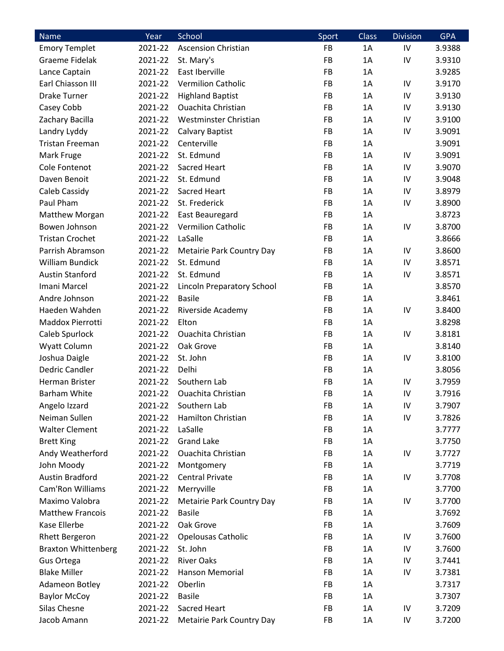| <b>Name</b>                | Year    | School                     | Sport | Class | <b>Division</b> | <b>GPA</b> |
|----------------------------|---------|----------------------------|-------|-------|-----------------|------------|
| <b>Emory Templet</b>       | 2021-22 | <b>Ascension Christian</b> | FB    | 1A    | IV              | 3.9388     |
| <b>Graeme Fidelak</b>      | 2021-22 | St. Mary's                 | FB    | 1A    | IV              | 3.9310     |
| Lance Captain              | 2021-22 | East Iberville             | FB    | 1A    |                 | 3.9285     |
| Earl Chiasson III          | 2021-22 | <b>Vermilion Catholic</b>  | FB    | 1A    | IV              | 3.9170     |
| <b>Drake Turner</b>        | 2021-22 | <b>Highland Baptist</b>    | FB    | 1A    | IV              | 3.9130     |
| Casey Cobb                 | 2021-22 | <b>Ouachita Christian</b>  | FB    | 1A    | IV              | 3.9130     |
| Zachary Bacilla            | 2021-22 | Westminster Christian      | FB    | 1A    | IV              | 3.9100     |
| Landry Lyddy               | 2021-22 | <b>Calvary Baptist</b>     | FB    | 1A    | IV              | 3.9091     |
| Tristan Freeman            | 2021-22 | Centerville                | FB    | 1A    |                 | 3.9091     |
| Mark Fruge                 | 2021-22 | St. Edmund                 | FB    | 1A    | IV              | 3.9091     |
| Cole Fontenot              | 2021-22 | Sacred Heart               | FB    | 1A    | IV              | 3.9070     |
| Daven Benoit               | 2021-22 | St. Edmund                 | FB    | 1A    | IV              | 3.9048     |
| Caleb Cassidy              | 2021-22 | <b>Sacred Heart</b>        | FB    | 1A    | IV              | 3.8979     |
| Paul Pham                  | 2021-22 | St. Frederick              | FB    | 1A    | IV              | 3.8900     |
| Matthew Morgan             | 2021-22 | East Beauregard            | FB    | 1A    |                 | 3.8723     |
| Bowen Johnson              | 2021-22 | <b>Vermilion Catholic</b>  | FB    | 1A    | IV              | 3.8700     |
| <b>Tristan Crochet</b>     | 2021-22 | LaSalle                    | FB    | 1A    |                 | 3.8666     |
| Parrish Abramson           | 2021-22 | Metairie Park Country Day  | FB    | 1A    | IV              | 3.8600     |
| <b>William Bundick</b>     | 2021-22 | St. Edmund                 | FB    | 1A    | IV              | 3.8571     |
| <b>Austin Stanford</b>     | 2021-22 | St. Edmund                 | FB    | 1A    | IV              | 3.8571     |
| Imani Marcel               | 2021-22 | Lincoln Preparatory School | FB    | 1A    |                 | 3.8570     |
| Andre Johnson              | 2021-22 | <b>Basile</b>              | FB    | 1A    |                 | 3.8461     |
| Haeden Wahden              | 2021-22 | Riverside Academy          | FB    | 1A    | IV              | 3.8400     |
| Maddox Pierrotti           | 2021-22 | Elton                      | FB    | 1A    |                 | 3.8298     |
| Caleb Spurlock             | 2021-22 | <b>Ouachita Christian</b>  | FB    | 1A    | IV              | 3.8181     |
| Wyatt Column               | 2021-22 | Oak Grove                  | FB    | 1A    |                 | 3.8140     |
| Joshua Daigle              | 2021-22 | St. John                   | FB    | 1A    | IV              | 3.8100     |
| Dedric Candler             | 2021-22 | Delhi                      | FB    | 1A    |                 | 3.8056     |
| Herman Brister             | 2021-22 | Southern Lab               | FB    | 1A    | IV              | 3.7959     |
| <b>Barham White</b>        | 2021-22 | <b>Ouachita Christian</b>  | FB    | 1A    | IV              | 3.7916     |
| Angelo Izzard              | 2021-22 | Southern Lab               | FB    | 1A    | IV              | 3.7907     |
| Neiman Sullen              | 2021-22 | Hamilton Christian         | FB    | 1A    | IV              | 3.7826     |
| <b>Walter Clement</b>      | 2021-22 | LaSalle                    | FB    | 1A    |                 | 3.7777     |
| <b>Brett King</b>          | 2021-22 | <b>Grand Lake</b>          | FB    | 1A    |                 | 3.7750     |
| Andy Weatherford           | 2021-22 | Ouachita Christian         | FB    | 1A    | IV              | 3.7727     |
| John Moody                 | 2021-22 | Montgomery                 | FB    | 1A    |                 | 3.7719     |
| <b>Austin Bradford</b>     | 2021-22 | <b>Central Private</b>     | FB    | 1A    | IV              | 3.7708     |
| Cam'Ron Williams           | 2021-22 | Merryville                 | FB    | 1A    |                 | 3.7700     |
| Maximo Valobra             | 2021-22 | Metairie Park Country Day  | FB    | 1A    | IV              | 3.7700     |
| <b>Matthew Francois</b>    | 2021-22 | <b>Basile</b>              | FB    | 1A    |                 | 3.7692     |
| Kase Ellerbe               | 2021-22 | Oak Grove                  | FB    | 1A    |                 | 3.7609     |
| <b>Rhett Bergeron</b>      | 2021-22 | <b>Opelousas Catholic</b>  | FB    | 1A    | IV              | 3.7600     |
| <b>Braxton Whittenberg</b> | 2021-22 | St. John                   | FB    | 1A    | IV              | 3.7600     |
| Gus Ortega                 | 2021-22 | <b>River Oaks</b>          | FB    | 1A    | IV              | 3.7441     |
| <b>Blake Miller</b>        | 2021-22 | Hanson Memorial            | FB    | 1A    | IV              | 3.7381     |
| Adameon Botley             | 2021-22 | Oberlin                    | FB    | 1A    |                 | 3.7317     |
| <b>Baylor McCoy</b>        | 2021-22 | <b>Basile</b>              | FB    | 1A    |                 | 3.7307     |
| Silas Chesne               | 2021-22 | Sacred Heart               | FB    | 1A    | IV              | 3.7209     |
| Jacob Amann                | 2021-22 | Metairie Park Country Day  | FB    | 1A    | IV              | 3.7200     |